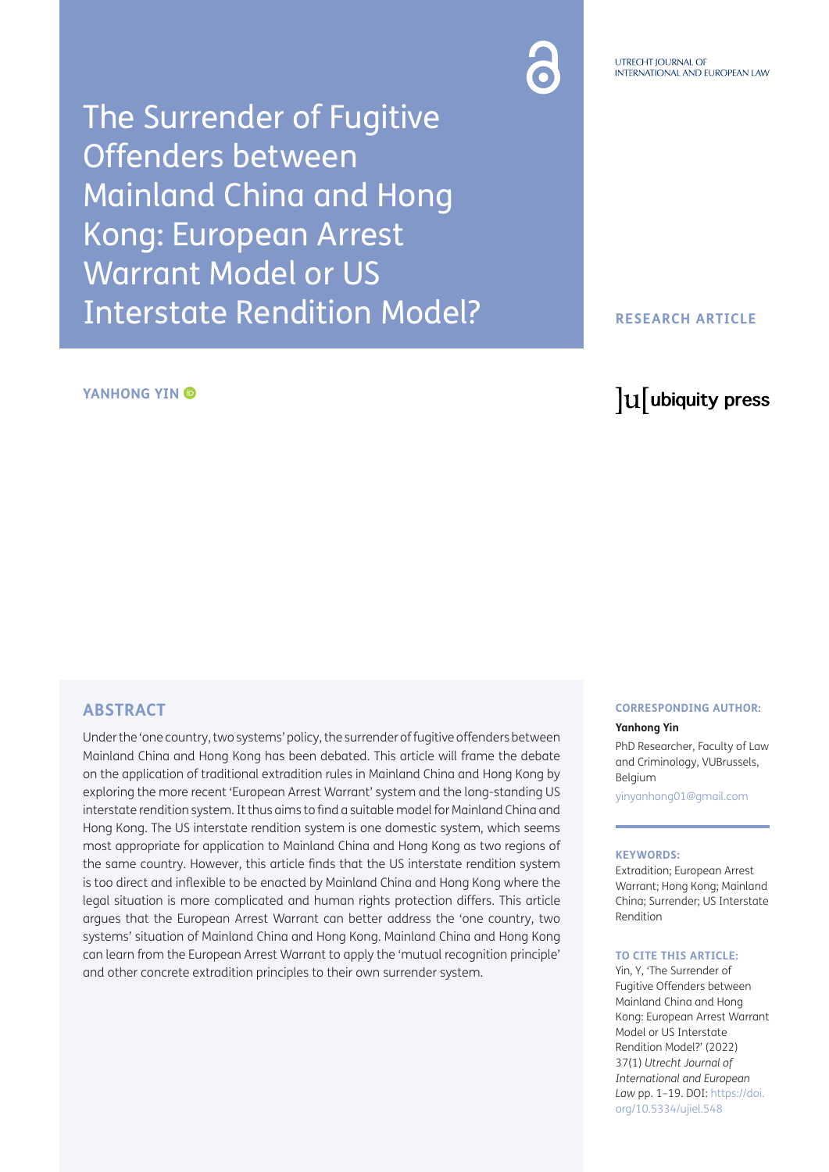The Surrender of Fugitive Offenders between Mainland China and Hong Kong: European Arrest Warrant Model or US Interstate Rendition Model?

#### **YANHONG YIN ©**

#### **RESEARCH ARTICLE**

## lu ubiquity press

## **ABSTRACT**

Under the 'one country, two systems' policy, the surrender of fugitive offenders between Mainland China and Hong Kong has been debated. This article will frame the debate on the application of traditional extradition rules in Mainland China and Hong Kong by exploring the more recent 'European Arrest Warrant' system and the long-standing US interstate rendition system. It thus aims to find a suitable model for Mainland China and Hong Kong. The US interstate rendition system is one domestic system, which seems most appropriate for application to Mainland China and Hong Kong as two regions of the same country. However, this article finds that the US interstate rendition system is too direct and inflexible to be enacted by Mainland China and Hong Kong where the legal situation is more complicated and human rights protection differs. This article argues that the European Arrest Warrant can better address the 'one country, two systems' situation of Mainland China and Hong Kong. Mainland China and Hong Kong can learn from the European Arrest Warrant to apply the 'mutual recognition principle' and other concrete extradition principles to their own surrender system.

### **CORRESPONDING AUTHOR:**

#### **Yanhong Yin**

PhD Researcher, Faculty of Law and Criminology, VUBrussels, Belgium

[yinyanhong01@gmail.com](mailto:yinyanhong01@gmail.com)

#### **KEYWORDS:**

Extradition; European Arrest Warrant; Hong Kong; Mainland China; Surrender; US Interstate Rendition

#### **TO CITE THIS ARTICLE:**

Yin, Y, 'The Surrender of Fugitive Offenders between Mainland China and Hong Kong: European Arrest Warrant Model or US Interstate Rendition Model?' (2022) 37(1) *Utrecht Journal of International and European Law* pp. 1–19. DOI: [https://doi.](https://doi.org/10.5334/ujiel.548) [org/10.5334/ujiel.548](https://doi.org/10.5334/ujiel.548)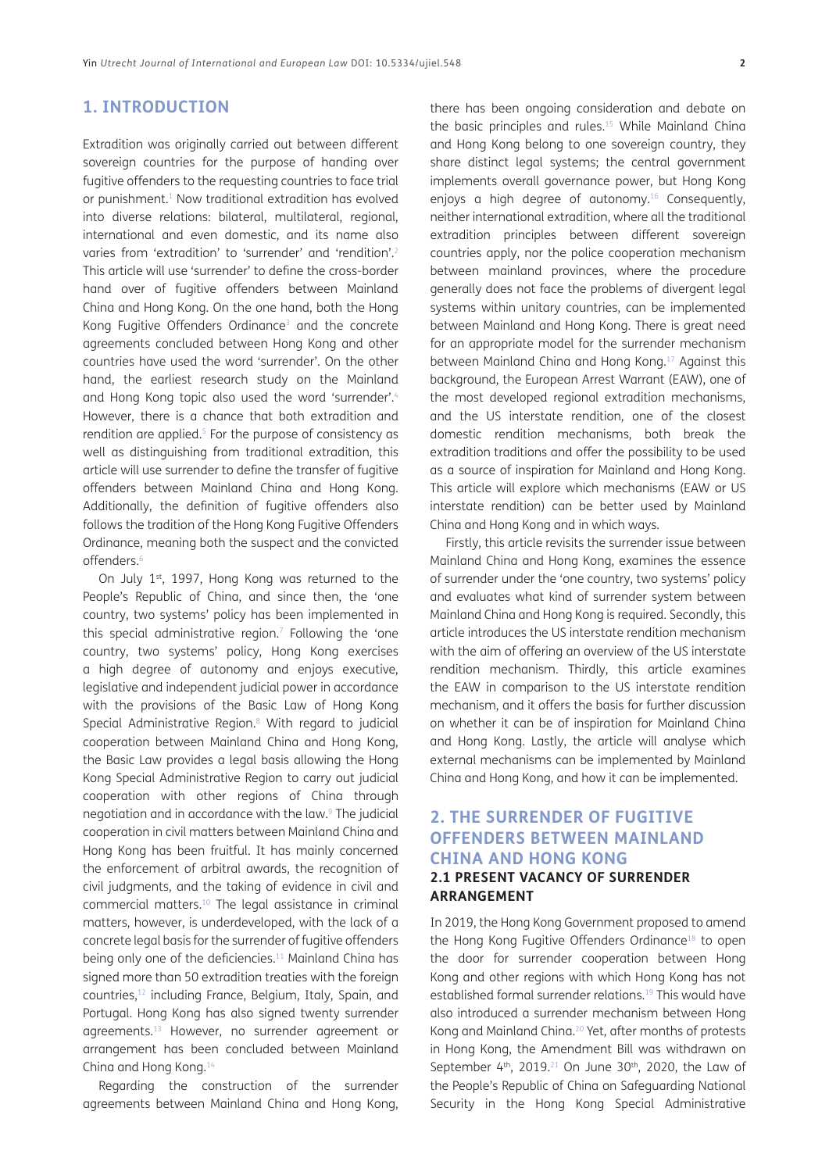## **1. INTRODUCTION**

Extradition was originally carried out between different sovereign countries for the purpose of handing over fugitive offenders to the requesting countries to face trial or punishment.<sup>1</sup> Now traditional extradition has evolved into diverse relations: bilateral, multilateral, regional, international and even domestic, and its name also varies from 'extradition' to 'surrender' and 'rendition'[.2](#page-11-0) This article will use 'surrender' to define the cross-border hand over of fugitive offenders between Mainland China and Hong Kong. On the one hand, both the Hong Kong Fugitive Offenders Ordinance<sup>3</sup> and the concrete agreements concluded between Hong Kong and other countries have used the word 'surrender'. On the other hand, the earliest research study on the Mainland and Hong Kong topic also used the word 'surrender'.<sup>4</sup> However, there is a chance that both extradition and rendition are applied.<sup>5</sup> For the purpose of consistency as well as distinguishing from traditional extradition, this article will use surrender to define the transfer of fugitive offenders between Mainland China and Hong Kong. Additionally, the definition of fugitive offenders also follows the tradition of the Hong Kong Fugitive Offenders Ordinance, meaning both the suspect and the convicted offenders[.6](#page-11-4)

On July 1st, 1997, Hong Kong was returned to the People's Republic of China, and since then, the 'one country, two systems' policy has been implemented in this special administrative region.<sup>7</sup> Following the 'one country, two systems' policy, Hong Kong exercises a high degree of autonomy and enjoys executive, legislative and independent judicial power in accordance with the provisions of the Basic Law of Hong Kong Special Administrative Region.<sup>8</sup> With regard to judicial cooperation between Mainland China and Hong Kong, the Basic Law provides a legal basis allowing the Hong Kong Special Administrative Region to carry out judicial cooperation with other regions of China through negotiation and in accordance with the law.[9](#page-11-7) The judicial cooperation in civil matters between Mainland China and Hong Kong has been fruitful. It has mainly concerned the enforcement of arbitral awards, the recognition of civil judgments, and the taking of evidence in civil and commercial matters[.10](#page-11-8) The legal assistance in criminal matters, however, is underdeveloped, with the lack of a concrete legal basis for the surrender of fugitive offenders being only one of the deficiencies.<sup>11</sup> Mainland China has signed more than 50 extradition treaties with the foreign countries,12 including France, Belgium, Italy, Spain, and Portugal. Hong Kong has also signed twenty surrender agreements.13 However, no surrender agreement or arrangement has been concluded between Mainland China and Hong Kong[.14](#page-12-1)

Regarding the construction of the surrender agreements between Mainland China and Hong Kong,

there has been ongoing consideration and debate on the basic principles and rules.<sup>15</sup> While Mainland China and Hong Kong belong to one sovereign country, they share distinct legal systems; the central government implements overall governance power, but Hong Kong enjoys a high degree of autonomy.<sup>16</sup> Consequently, neither international extradition, where all the traditional extradition principles between different sovereign countries apply, nor the police cooperation mechanism between mainland provinces, where the procedure generally does not face the problems of divergent legal systems within unitary countries, can be implemented between Mainland and Hong Kong. There is great need for an appropriate model for the surrender mechanism between Mainland China and Hong Kong.[17](#page-12-3) Against this background, the European Arrest Warrant (EAW), one of the most developed regional extradition mechanisms, and the US interstate rendition, one of the closest domestic rendition mechanisms, both break the extradition traditions and offer the possibility to be used as a source of inspiration for Mainland and Hong Kong. This article will explore which mechanisms (EAW or US interstate rendition) can be better used by Mainland China and Hong Kong and in which ways.

Firstly, this article revisits the surrender issue between Mainland China and Hong Kong, examines the essence of surrender under the 'one country, two systems' policy and evaluates what kind of surrender system between Mainland China and Hong Kong is required. Secondly, this article introduces the US interstate rendition mechanism with the aim of offering an overview of the US interstate rendition mechanism. Thirdly, this article examines the EAW in comparison to the US interstate rendition mechanism, and it offers the basis for further discussion on whether it can be of inspiration for Mainland China and Hong Kong. Lastly, the article will analyse which external mechanisms can be implemented by Mainland China and Hong Kong, and how it can be implemented.

## **2. THE SURRENDER OF FUGITIVE OFFENDERS BETWEEN MAINLAND CHINA AND HONG KONG 2.1 PRESENT VACANCY OF SURRENDER ARRANGEMENT**

In 2019, the Hong Kong Government proposed to amend the Hong Kong Fugitive Offenders Ordinance<sup>18</sup> to open the door for surrender cooperation between Hong Kong and other regions with which Hong Kong has not established formal surrender relations.<sup>19</sup> This would have also introduced a surrender mechanism between Hong Kong and Mainland China[.20](#page-12-6) Yet, after months of protests in Hong Kong, the Amendment Bill was withdrawn on September  $4<sup>th</sup>$ , 2019.<sup>21</sup> On June 30<sup>th</sup>, 2020, the Law of the People's Republic of China on Safeguarding National Security in the Hong Kong Special Administrative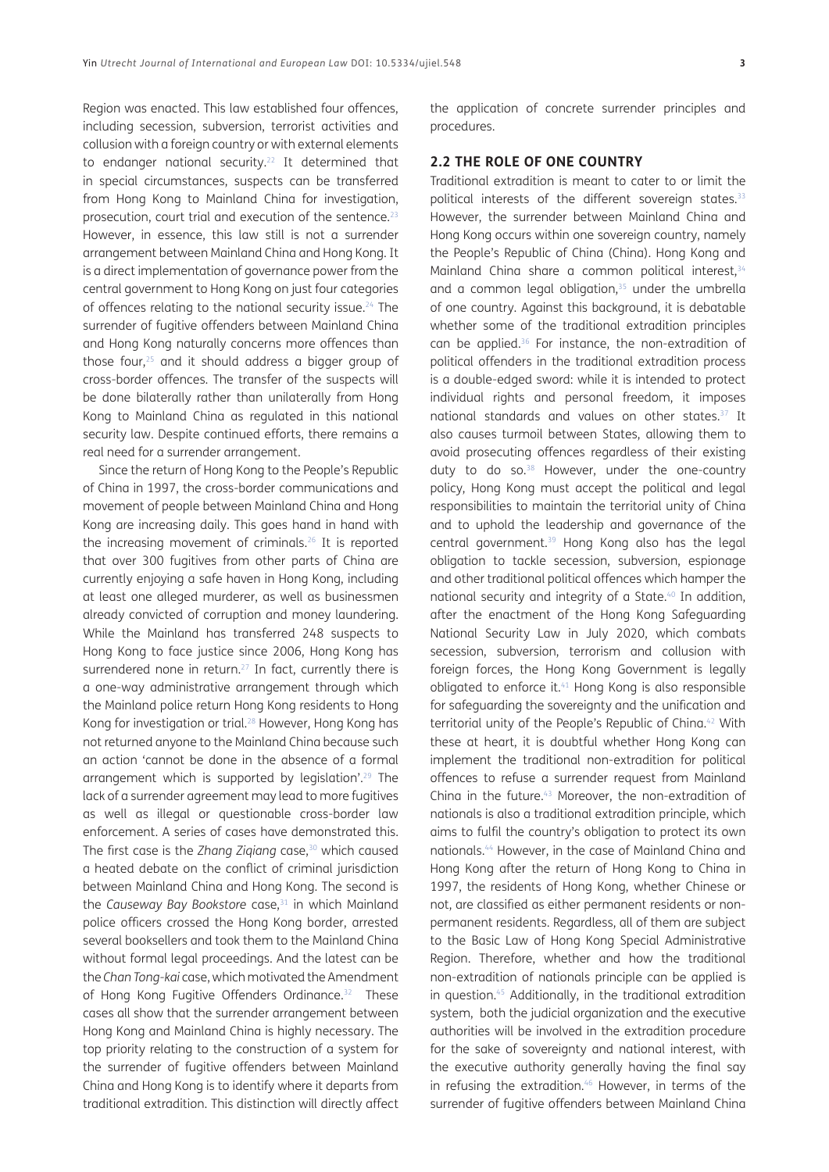Region was enacted. This law established four offences, including secession, subversion, terrorist activities and collusion with a foreign country or with external elements to endanger national security.<sup>22</sup> It determined that in special circumstances, suspects can be transferred from Hong Kong to Mainland China for investigation, prosecution, court trial and execution of the sentence.<sup>23</sup> However, in essence, this law still is not a surrender arrangement between Mainland China and Hong Kong. It is a direct implementation of governance power from the central government to Hong Kong on just four categories of offences relating to the national security issue.<sup>24</sup> The surrender of fugitive offenders between Mainland China and Hong Kong naturally concerns more offences than those four,[25](#page-12-11) and it should address a bigger group of cross-border offences. The transfer of the suspects will be done bilaterally rather than unilaterally from Hong Kong to Mainland China as regulated in this national security law. Despite continued efforts, there remains a real need for a surrender arrangement.

Since the return of Hong Kong to the People's Republic of China in 1997, the cross-border communications and movement of people between Mainland China and Hong Kong are increasing daily. This goes hand in hand with the increasing movement of criminals.[26](#page-12-12) It is reported that over 300 fugitives from other parts of China are currently enjoying a safe haven in Hong Kong, including at least one alleged murderer, as well as businessmen already convicted of corruption and money laundering. While the Mainland has transferred 248 suspects to Hong Kong to face justice since 2006, Hong Kong has surrendered none in return.<sup>27</sup> In fact, currently there is a one-way administrative arrangement through which the Mainland police return Hong Kong residents to Hong Kong for investigation or trial.[28](#page-12-14) However, Hong Kong has not returned anyone to the Mainland China because such an action 'cannot be done in the absence of a formal arrangement which is supported by legislation'.[29](#page-12-15) The lack of a surrender agreement may lead to more fugitives as well as illegal or questionable cross-border law enforcement. A series of cases have demonstrated this. The first case is the *Zhang Zigiang* case,<sup>30</sup> which caused a heated debate on the conflict of criminal jurisdiction between Mainland China and Hong Kong. The second is the *Causeway Bay Bookstore* case,<sup>31</sup> in which Mainland police officers crossed the Hong Kong border, arrested several booksellers and took them to the Mainland China without formal legal proceedings. And the latest can be the *Chan Tong-kai* case, which motivated the Amendment of Hong Kong Fugitive Offenders Ordinance.<sup>32</sup> These cases all show that the surrender arrangement between Hong Kong and Mainland China is highly necessary. The top priority relating to the construction of a system for the surrender of fugitive offenders between Mainland China and Hong Kong is to identify where it departs from traditional extradition. This distinction will directly affect the application of concrete surrender principles and procedures.

#### **2.2 THE ROLE OF ONE COUNTRY**

Traditional extradition is meant to cater to or limit the political interests of the different sovereign states.<sup>[33](#page-12-19)</sup> However, the surrender between Mainland China and Hong Kong occurs within one sovereign country, namely the People's Republic of China (China). Hong Kong and Mainland China share a common political interest,<sup>[34](#page-12-20)</sup> and a common legal obligation, $35$  under the umbrella of one country. Against this background, it is debatable whether some of the traditional extradition principles can be applied[.36](#page-13-0) For instance, the non-extradition of political offenders in the traditional extradition process is a double-edged sword: while it is intended to protect individual rights and personal freedom, it imposes national standards and values on other states.<sup>37</sup> It also causes turmoil between States, allowing them to avoid prosecuting offences regardless of their existing duty to do so.<sup>38</sup> However, under the one-country policy, Hong Kong must accept the political and legal responsibilities to maintain the territorial unity of China and to uphold the leadership and governance of the central government.<sup>39</sup> Hong Kong also has the legal obligation to tackle secession, subversion, espionage and other traditional political offences which hamper the national security and integrity of a State.<sup>40</sup> In addition, after the enactment of the Hong Kong Safeguarding National Security Law in July 2020, which combats secession, subversion, terrorism and collusion with foreign forces, the Hong Kong Government is legally obligated to enforce it.<sup>41</sup> Hong Kong is also responsible for safeguarding the sovereignty and the unification and territorial unity of the People's Republic of China.<sup>42</sup> With these at heart, it is doubtful whether Hong Kong can implement the traditional non-extradition for political offences to refuse a surrender request from Mainland China in the future.[43](#page-13-7) Moreover, the non-extradition of nationals is also a traditional extradition principle, which aims to fulfil the country's obligation to protect its own nationals[.44](#page-13-8) However, in the case of Mainland China and Hong Kong after the return of Hong Kong to China in 1997, the residents of Hong Kong, whether Chinese or not, are classified as either permanent residents or nonpermanent residents. Regardless, all of them are subject to the Basic Law of Hong Kong Special Administrative Region. Therefore, whether and how the traditional non-extradition of nationals principle can be applied is in question.<sup>45</sup> Additionally, in the traditional extradition system, both the judicial organization and the executive authorities will be involved in the extradition procedure for the sake of sovereignty and national interest, with the executive authority generally having the final say in refusing the extradition.<sup>46</sup> However, in terms of the surrender of fugitive offenders between Mainland China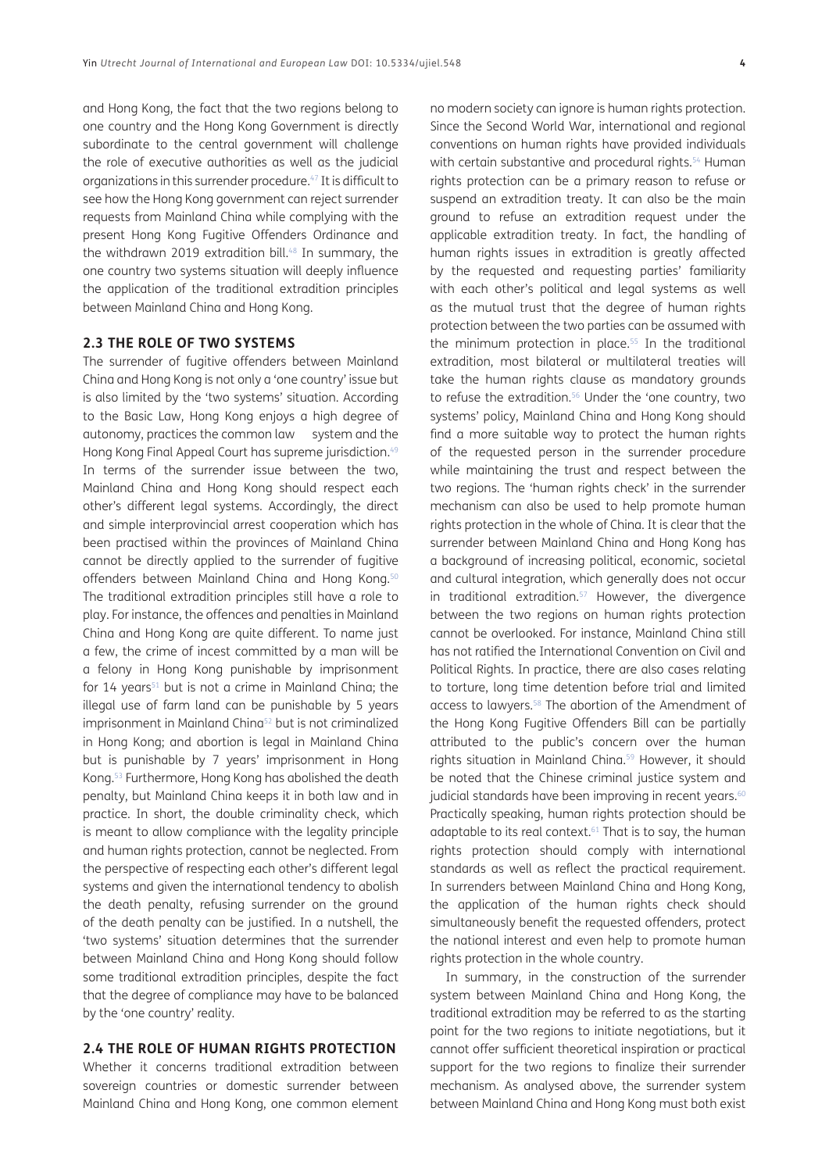and Hong Kong, the fact that the two regions belong to one country and the Hong Kong Government is directly subordinate to the central government will challenge the role of executive authorities as well as the judicial organizations in this surrender procedure.[47](#page-13-11) It is difficult to see how the Hong Kong government can reject surrender requests from Mainland China while complying with the present Hong Kong Fugitive Offenders Ordinance and the withdrawn 2019 extradition bill. $48$  In summary, the one country two systems situation will deeply influence the application of the traditional extradition principles between Mainland China and Hong Kong.

## **2.3 THE ROLE OF TWO SYSTEMS**

The surrender of fugitive offenders between Mainland China and Hong Kong is not only a 'one country' issue but is also limited by the 'two systems' situation. According to the Basic Law, Hong Kong enjoys a high degree of autonomy, practices the common law system and the Hong Kong Final Appeal Court has supreme jurisdiction.<sup>49</sup> In terms of the surrender issue between the two, Mainland China and Hong Kong should respect each other's different legal systems. Accordingly, the direct and simple interprovincial arrest cooperation which has been practised within the provinces of Mainland China cannot be directly applied to the surrender of fugitive offenders between Mainland China and Hong Kong.<sup>50</sup> The traditional extradition principles still have a role to play. For instance, the offences and penalties in Mainland China and Hong Kong are quite different. To name just a few, the crime of incest committed by a man will be a felony in Hong Kong punishable by imprisonment for  $14$  years<sup>51</sup> but is not a crime in Mainland China; the illegal use of farm land can be punishable by 5 years imprisonment in Mainland China<sup>52</sup> but is not criminalized in Hong Kong; and abortion is legal in Mainland China but is punishable by 7 years' imprisonment in Hong Kong[.53](#page-13-17) Furthermore, Hong Kong has abolished the death penalty, but Mainland China keeps it in both law and in practice. In short, the double criminality check, which is meant to allow compliance with the legality principle and human rights protection, cannot be neglected. From the perspective of respecting each other's different legal systems and given the international tendency to abolish the death penalty, refusing surrender on the ground of the death penalty can be justified. In a nutshell, the 'two systems' situation determines that the surrender between Mainland China and Hong Kong should follow some traditional extradition principles, despite the fact that the degree of compliance may have to be balanced by the 'one country' reality.

## **2.4 THE ROLE OF HUMAN RIGHTS PROTECTION**

Whether it concerns traditional extradition between sovereign countries or domestic surrender between Mainland China and Hong Kong, one common element

no modern society can ignore is human rights protection. Since the Second World War, international and regional conventions on human rights have provided individuals with certain substantive and procedural rights.<sup>54</sup> Human rights protection can be a primary reason to refuse or suspend an extradition treaty. It can also be the main ground to refuse an extradition request under the applicable extradition treaty. In fact, the handling of human rights issues in extradition is greatly affected by the requested and requesting parties' familiarity with each other's political and legal systems as well as the mutual trust that the degree of human rights protection between the two parties can be assumed with the minimum protection in place.<sup>55</sup> In the traditional extradition, most bilateral or multilateral treaties will take the human rights clause as mandatory grounds to refuse the extradition.<sup>56</sup> Under the 'one country, two systems' policy, Mainland China and Hong Kong should find a more suitable way to protect the human rights of the requested person in the surrender procedure while maintaining the trust and respect between the two regions. The 'human rights check' in the surrender mechanism can also be used to help promote human rights protection in the whole of China. It is clear that the surrender between Mainland China and Hong Kong has a background of increasing political, economic, societal and cultural integration, which generally does not occur in traditional extradition.<sup>57</sup> However, the divergence between the two regions on human rights protection cannot be overlooked. For instance, Mainland China still has not ratified the International Convention on Civil and Political Rights. In practice, there are also cases relating to torture, long time detention before trial and limited access to lawyers.[58](#page-13-22) The abortion of the Amendment of the Hong Kong Fugitive Offenders Bill can be partially attributed to the public's concern over the human rights situation in Mainland China.<sup>59</sup> However, it should be noted that the Chinese criminal justice system and judicial standards have been improving in recent years.<sup>[60](#page-13-24)</sup> Practically speaking, human rights protection should be adaptable to its real context.<sup>61</sup> That is to say, the human rights protection should comply with international standards as well as reflect the practical requirement. In surrenders between Mainland China and Hong Kong, the application of the human rights check should simultaneously benefit the requested offenders, protect the national interest and even help to promote human rights protection in the whole country.

In summary, in the construction of the surrender system between Mainland China and Hong Kong, the traditional extradition may be referred to as the starting point for the two regions to initiate negotiations, but it cannot offer sufficient theoretical inspiration or practical support for the two regions to finalize their surrender mechanism. As analysed above, the surrender system between Mainland China and Hong Kong must both exist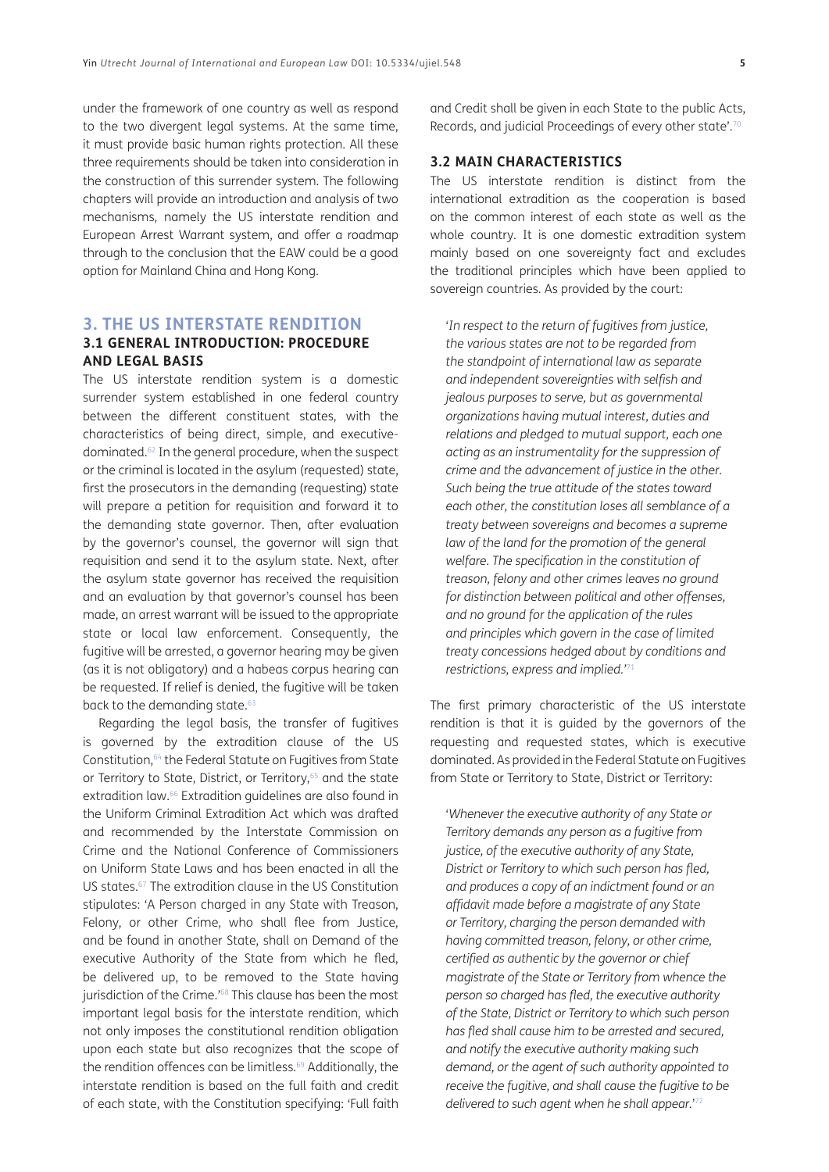under the framework of one country as well as respond to the two divergent legal systems. At the same time, it must provide basic human rights protection. All these three requirements should be taken into consideration in the construction of this surrender system. The following chapters will provide an introduction and analysis of two mechanisms, namely the US interstate rendition and European Arrest Warrant system, and offer a roadmap through to the conclusion that the EAW could be a good option for Mainland China and Hong Kong.

#### **3. THE US INTERSTATE RENDITION**

#### **3.1 GENERAL INTRODUCTION: PROCEDURE AND LEGAL BASIS**

The US interstate rendition system is a domestic surrender system established in one federal country between the different constituent states, with the characteristics of being direct, simple, and executivedominated.[62](#page-13-26) In the general procedure, when the suspect or the criminal is located in the asylum (requested) state, first the prosecutors in the demanding (requesting) state will prepare a petition for requisition and forward it to the demanding state governor. Then, after evaluation by the governor's counsel, the governor will sign that requisition and send it to the asylum state. Next, after the asylum state governor has received the requisition and an evaluation by that governor's counsel has been made, an arrest warrant will be issued to the appropriate state or local law enforcement. Consequently, the fugitive will be arrested, a governor hearing may be given (as it is not obligatory) and a habeas corpus hearing can be requested. If relief is denied, the fugitive will be taken back to the demanding state.<sup>[63](#page-13-27)</sup>

Regarding the legal basis, the transfer of fugitives is governed by the extradition clause of the US Constitution,<sup>64</sup> the Federal Statute on Fugitives from State or Territory to State, District, or Territory,<sup>65</sup> and the state extradition law.<sup>66</sup> Extradition guidelines are also found in the Uniform Criminal Extradition Act which was drafted and recommended by the Interstate Commission on Crime and the National Conference of Commissioners on Uniform State Laws and has been enacted in all the US states[.67](#page-13-31) The extradition clause in the US Constitution stipulates: 'A Person charged in any State with Treason, Felony, or other Crime, who shall flee from Justice, and be found in another State, shall on Demand of the executive Authority of the State from which he fled, be delivered up, to be removed to the State having jurisdiction of the Crime.<sup>['68](#page-13-32)</sup> This clause has been the most important legal basis for the interstate rendition, which not only imposes the constitutional rendition obligation upon each state but also recognizes that the scope of the rendition offences can be limitless.<sup>69</sup> Additionally, the interstate rendition is based on the full faith and credit of each state, with the Constitution specifying: 'Full faith and Credit shall be given in each State to the public Acts, Records, and judicial Proceedings of every other state'[.70](#page-13-34)

## **3.2 MAIN CHARACTERISTICS**

The US interstate rendition is distinct from the international extradition as the cooperation is based on the common interest of each state as well as the whole country. It is one domestic extradition system mainly based on one sovereignty fact and excludes the traditional principles which have been applied to sovereign countries. As provided by the court:

'*In respect to the return of fugitives from justice, the various states are not to be regarded from the standpoint of international law as separate and independent sovereignties with selfish and jealous purposes to serve, but as governmental organizations having mutual interest, duties and relations and pledged to mutual support, each one acting as an instrumentality for the suppression of crime and the advancement of justice in the other. Such being the true attitude of the states toward each other, the constitution loses all semblance of a treaty between sovereigns and becomes a supreme law of the land for the promotion of the general welfare. The specification in the constitution of treason, felony and other crimes leaves no ground for distinction between political and other offenses, and no ground for the application of the rules and principles which govern in the case of limited treaty concessions hedged about by conditions and restrictions, express and implied.'*[71](#page-13-35)

The first primary characteristic of the US interstate rendition is that it is guided by the governors of the requesting and requested states, which is executive dominated. As provided in the Federal Statute on Fugitives from State or Territory to State, District or Territory:

'*Whenever the executive authority of any State or Territory demands any person as a fugitive from justice, of the executive authority of any State, District or Territory to which such person has fled, and produces a copy of an indictment found or an affidavit made before a magistrate of any State or Territory, charging the person demanded with having committed treason, felony, or other crime, certified as authentic by the governor or chief magistrate of the State or Territory from whence the person so charged has fled, the executive authority of the State, District or Territory to which such person has fled shall cause him to be arrested and secured, and notify the executive authority making such demand, or the agent of such authority appointed to receive the fugitive, and shall cause the fugitive to be delivered to such agent when he shall appear.*' [72](#page-13-36)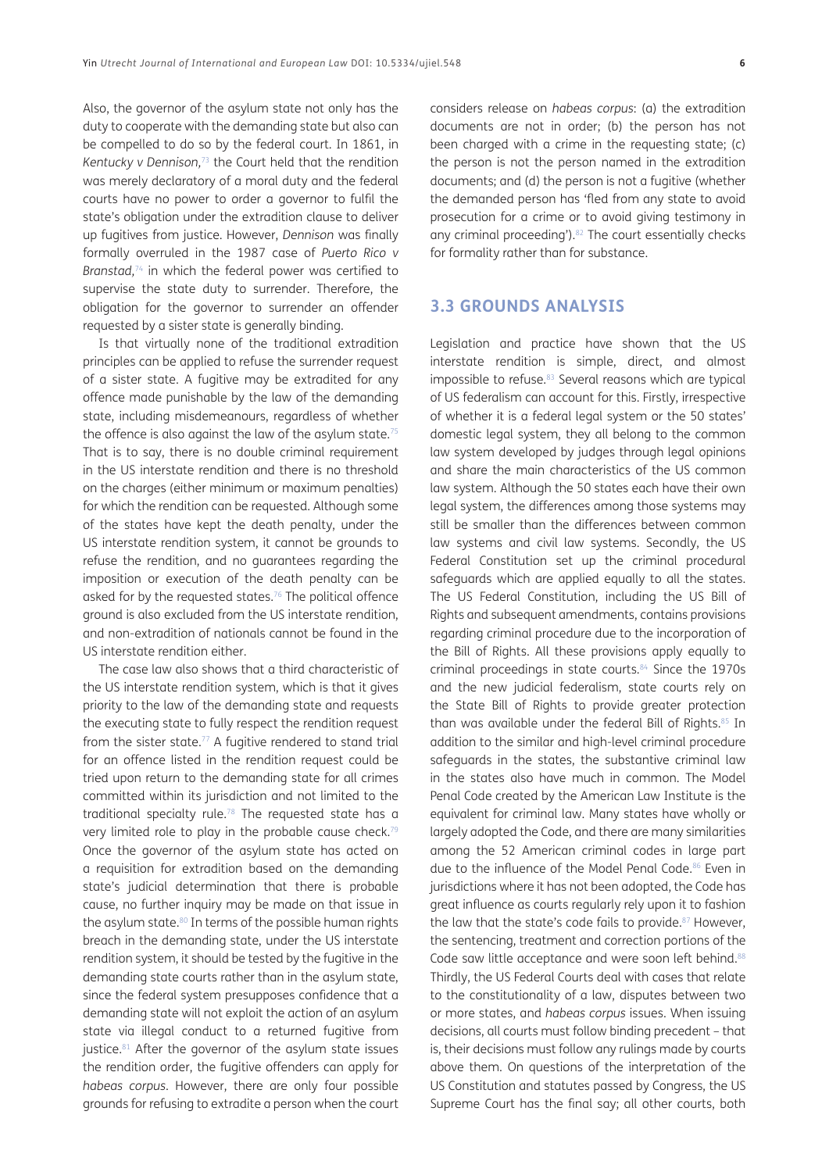Also, the governor of the asylum state not only has the duty to cooperate with the demanding state but also can be compelled to do so by the federal court. In 1861, in *Kentucky v Dennison,*[73](#page-13-37) the Court held that the rendition was merely declaratory of a moral duty and the federal courts have no power to order a governor to fulfil the state's obligation under the extradition clause to deliver up fugitives from justice. However, *Dennison* was finally formally overruled in the 1987 case of *Puerto Rico v Branstad,*[74](#page-13-38) in which the federal power was certified to supervise the state duty to surrender. Therefore, the obligation for the governor to surrender an offender requested by a sister state is generally binding.

Is that virtually none of the traditional extradition principles can be applied to refuse the surrender request of a sister state. A fugitive may be extradited for any offence made punishable by the law of the demanding state, including misdemeanours, regardless of whether the offence is also against the law of the asylum state.<sup>75</sup> That is to say, there is no double criminal requirement in the US interstate rendition and there is no threshold on the charges (either minimum or maximum penalties) for which the rendition can be requested. Although some of the states have kept the death penalty, under the US interstate rendition system, it cannot be grounds to refuse the rendition, and no guarantees regarding the imposition or execution of the death penalty can be asked for by the requested states.<sup>76</sup> The political offence ground is also excluded from the US interstate rendition, and non-extradition of nationals cannot be found in the US interstate rendition either.

The case law also shows that a third characteristic of the US interstate rendition system, which is that it gives priority to the law of the demanding state and requests the executing state to fully respect the rendition request from the sister state.<sup>77</sup> A fugitive rendered to stand trial for an offence listed in the rendition request could be tried upon return to the demanding state for all crimes committed within its jurisdiction and not limited to the traditional specialty rule.[78](#page-13-42) The requested state has a very limited role to play in the probable cause check.<sup>79</sup> Once the governor of the asylum state has acted on a requisition for extradition based on the demanding state's judicial determination that there is probable cause, no further inquiry may be made on that issue in the asylum state.<sup>80</sup> In terms of the possible human rights breach in the demanding state, under the US interstate rendition system, it should be tested by the fugitive in the demanding state courts rather than in the asylum state, since the federal system presupposes confidence that a demanding state will not exploit the action of an asylum state via illegal conduct to a returned fugitive from justice.<sup>81</sup> After the governor of the asylum state issues the rendition order, the fugitive offenders can apply for *habeas corpus*. However, there are only four possible grounds for refusing to extradite a person when the court considers release on *habeas corpus*: (a) the extradition documents are not in order; (b) the person has not been charged with a crime in the requesting state; (c) the person is not the person named in the extradition documents; and (d) the person is not a fugitive (whether the demanded person has 'fled from any state to avoid prosecution for a crime or to avoid giving testimony in any criminal proceeding').<sup>82</sup> The court essentially checks for formality rather than for substance.

## **3.3 GROUNDS ANALYSIS**

Legislation and practice have shown that the US interstate rendition is simple, direct, and almost impossible to refuse.<sup>83</sup> Several reasons which are typical of US federalism can account for this. Firstly, irrespective of whether it is a federal legal system or the 50 states' domestic legal system, they all belong to the common law system developed by judges through legal opinions and share the main characteristics of the US common law system. Although the 50 states each have their own legal system, the differences among those systems may still be smaller than the differences between common law systems and civil law systems. Secondly, the US Federal Constitution set up the criminal procedural safeguards which are applied equally to all the states. The US Federal Constitution, including the US Bill of Rights and subsequent amendments, contains provisions regarding criminal procedure due to the incorporation of the Bill of Rights. All these provisions apply equally to criminal proceedings in state courts.[84](#page-13-48) Since the 1970s and the new judicial federalism, state courts rely on the State Bill of Rights to provide greater protection than was available under the federal Bill of Rights.<sup>85</sup> In addition to the similar and high-level criminal procedure safeguards in the states, the substantive criminal law in the states also have much in common. The Model Penal Code created by the American Law Institute is the equivalent for criminal law. Many states have wholly or largely adopted the Code, and there are many similarities among the 52 American criminal codes in large part due to the influence of the Model Penal Code.<sup>86</sup> Even in jurisdictions where it has not been adopted, the Code has great influence as courts regularly rely upon it to fashion the law that the state's code fails to provide.<sup>87</sup> However, the sentencing, treatment and correction portions of the Code saw little acceptance and were soon left behind.<sup>[88](#page-13-52)</sup> Thirdly, the US Federal Courts deal with cases that relate to the constitutionality of a law, disputes between two or more states, and *habeas corpus* issues. When issuing decisions, all courts must follow binding precedent – that is, their decisions must follow any rulings made by courts above them. On questions of the interpretation of the US Constitution and statutes passed by Congress, the US Supreme Court has the final say; all other courts, both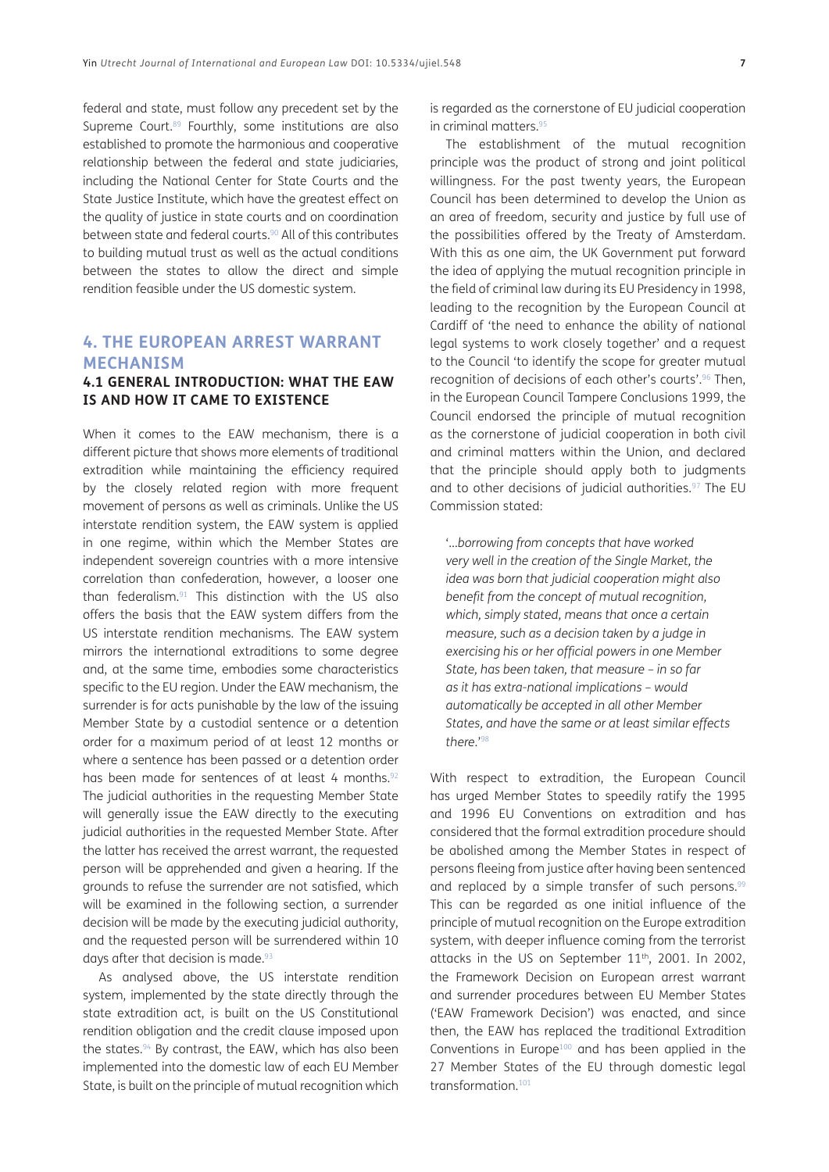federal and state, must follow any precedent set by the Supreme Court.<sup>89</sup> Fourthly, some institutions are also established to promote the harmonious and cooperative relationship between the federal and state judiciaries, including the National Center for State Courts and the State Justice Institute, which have the greatest effect on the quality of justice in state courts and on coordination between state and federal courts.<sup>90</sup> All of this contributes to building mutual trust as well as the actual conditions between the states to allow the direct and simple rendition feasible under the US domestic system.

## **4. THE EUROPEAN ARREST WARRANT MECHANISM**

#### **4.1 GENERAL INTRODUCTION: WHAT THE EAW IS AND HOW IT CAME TO EXISTENCE**

When it comes to the EAW mechanism, there is a different picture that shows more elements of traditional extradition while maintaining the efficiency required by the closely related region with more frequent movement of persons as well as criminals. Unlike the US interstate rendition system, the EAW system is applied in one regime, within which the Member States are independent sovereign countries with a more intensive correlation than confederation, however, a looser one than federalism.[91](#page-14-2) This distinction with the US also offers the basis that the EAW system differs from the US interstate rendition mechanisms. The EAW system mirrors the international extraditions to some degree and, at the same time, embodies some characteristics specific to the EU region. Under the EAW mechanism, the surrender is for acts punishable by the law of the issuing Member State by a custodial sentence or a detention order for a maximum period of at least 12 months or where a sentence has been passed or a detention order has been made for sentences of at least 4 months.<sup>92</sup> The judicial authorities in the requesting Member State will generally issue the EAW directly to the executing judicial authorities in the requested Member State. After the latter has received the arrest warrant, the requested person will be apprehended and given a hearing. If the grounds to refuse the surrender are not satisfied, which will be examined in the following section, a surrender decision will be made by the executing judicial authority, and the requested person will be surrendered within 10 days after that decision is made.<sup>93</sup>

As analysed above, the US interstate rendition system, implemented by the state directly through the state extradition act, is built on the US Constitutional rendition obligation and the credit clause imposed upon the states.<sup>94</sup> By contrast, the EAW, which has also been implemented into the domestic law of each EU Member State, is built on the principle of mutual recognition which is regarded as the cornerstone of EU judicial cooperation in criminal matters[.95](#page-14-6)

The establishment of the mutual recognition principle was the product of strong and joint political willingness. For the past twenty years, the European Council has been determined to develop the Union as an area of freedom, security and justice by full use of the possibilities offered by the Treaty of Amsterdam. With this as one aim, the UK Government put forward the idea of applying the mutual recognition principle in the field of criminal law during its EU Presidency in 1998, leading to the recognition by the European Council at Cardiff of 'the need to enhance the ability of national legal systems to work closely together' and a request to the Council 'to identify the scope for greater mutual recognition of decisions of each other's courts'.<sup>96</sup> Then, in the European Council Tampere Conclusions 1999, the Council endorsed the principle of mutual recognition as the cornerstone of judicial cooperation in both civil and criminal matters within the Union, and declared that the principle should apply both to judgments and to other decisions of judicial authorities.<sup>97</sup> The EU Commission stated:

'…*borrowing from concepts that have worked very well in the creation of the Single Market, the idea was born that judicial cooperation might also benefit from the concept of mutual recognition, which, simply stated, means that once a certain measure, such as a decision taken by a judge in exercising his or her official powers in one Member State, has been taken, that measure – in so far as it has extra-national implications – would automatically be accepted in all other Member States, and have the same or at least similar effects there*.['98](#page-14-8)

With respect to extradition, the European Council has urged Member States to speedily ratify the 1995 and 1996 EU Conventions on extradition and has considered that the formal extradition procedure should be abolished among the Member States in respect of persons fleeing from justice after having been sentenced and replaced by a simple transfer of such persons.<sup>99</sup> This can be regarded as one initial influence of the principle of mutual recognition on the Europe extradition system, with deeper influence coming from the terrorist attacks in the US on September 11<sup>th</sup>, 2001. In 2002, the Framework Decision on European arrest warrant and surrender procedures between EU Member States ('EAW Framework Decision') was enacted, and since then, the EAW has replaced the traditional Extradition Conventions in Europe<sup>100</sup> and has been applied in the 27 Member States of the EU through domestic legal transformation.<sup>101</sup>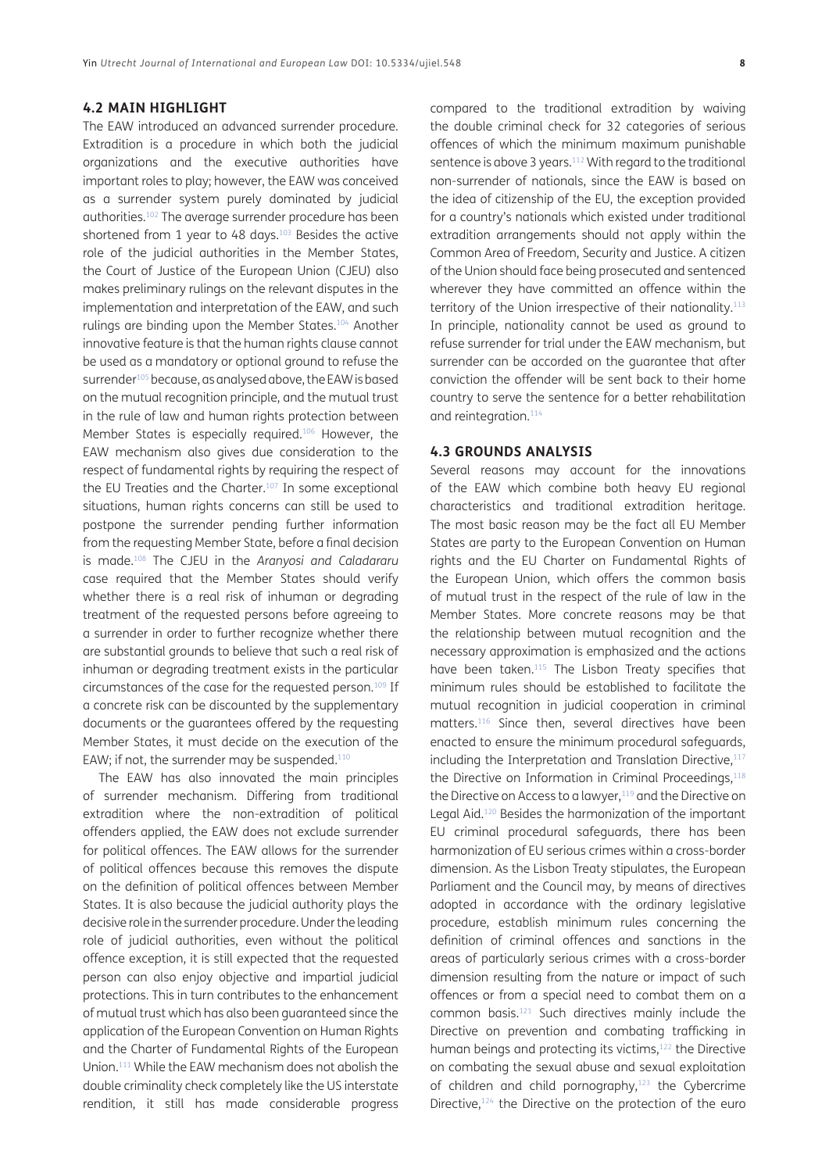#### **4.2 MAIN HIGHLIGHT**

The EAW introduced an advanced surrender procedure. Extradition is a procedure in which both the judicial organizations and the executive authorities have important roles to play; however, the EAW was conceived as a surrender system purely dominated by judicial authorities.[102](#page-14-10) The average surrender procedure has been shortened from 1 year to 48 days.<sup>103</sup> Besides the active role of the judicial authorities in the Member States, the Court of Justice of the European Union (CJEU) also makes preliminary rulings on the relevant disputes in the implementation and interpretation of the EAW, and such rulings are binding upon the Member States.[104](#page-14-11) Another innovative feature is that the human rights clause cannot be used as a mandatory or optional ground to refuse the surrender<sup>105</sup> because, as analysed above, the EAW is based on the mutual recognition principle, and the mutual trust in the rule of law and human rights protection between Member States is especially required[.106](#page-14-13) However, the EAW mechanism also gives due consideration to the respect of fundamental rights by requiring the respect of the EU Treaties and the Charter.<sup>[107](#page-14-14)</sup> In some exceptional situations, human rights concerns can still be used to postpone the surrender pending further information from the requesting Member State, before a final decision is made[.108](#page-14-15) The CJEU in the *Aranyosi and Caladararu* case required that the Member States should verify whether there is a real risk of inhuman or degrading treatment of the requested persons before agreeing to a surrender in order to further recognize whether there are substantial grounds to believe that such a real risk of inhuman or degrading treatment exists in the particular circumstances of the case for the requested person.109 If a concrete risk can be discounted by the supplementary documents or the guarantees offered by the requesting Member States, it must decide on the execution of the EAW; if not, the surrender may be suspended.<sup>[110](#page-14-16)</sup>

The EAW has also innovated the main principles of surrender mechanism. Differing from traditional extradition where the non-extradition of political offenders applied, the EAW does not exclude surrender for political offences. The EAW allows for the surrender of political offences because this removes the dispute on the definition of political offences between Member States. It is also because the judicial authority plays the decisive role in the surrender procedure. Under the leading role of judicial authorities, even without the political offence exception, it is still expected that the requested person can also enjoy objective and impartial judicial protections. This in turn contributes to the enhancement of mutual trust which has also been guaranteed since the application of the European Convention on Human Rights and the Charter of Fundamental Rights of the European Union[.111](#page-14-17) While the EAW mechanism does not abolish the double criminality check completely like the US interstate rendition, it still has made considerable progress

compared to the traditional extradition by waiving the double criminal check for 32 categories of serious offences of which the minimum maximum punishable sentence is above 3 years.<sup>112</sup> With regard to the traditional non-surrender of nationals, since the EAW is based on the idea of citizenship of the EU, the exception provided for a country's nationals which existed under traditional extradition arrangements should not apply within the Common Area of Freedom, Security and Justice. A citizen of the Union should face being prosecuted and sentenced wherever they have committed an offence within the territory of the Union irrespective of their nationality.<sup>113</sup> In principle, nationality cannot be used as ground to refuse surrender for trial under the EAW mechanism, but surrender can be accorded on the guarantee that after conviction the offender will be sent back to their home country to serve the sentence for a better rehabilitation and reintegration.<sup>[114](#page-14-19)</sup>

#### **4.3 GROUNDS ANALYSIS**

Several reasons may account for the innovations of the EAW which combine both heavy EU regional characteristics and traditional extradition heritage. The most basic reason may be the fact all EU Member States are party to the European Convention on Human rights and the EU Charter on Fundamental Rights of the European Union, which offers the common basis of mutual trust in the respect of the rule of law in the Member States. More concrete reasons may be that the relationship between mutual recognition and the necessary approximation is emphasized and the actions have been taken.<sup>115</sup> The Lisbon Treaty specifies that minimum rules should be established to facilitate the mutual recognition in judicial cooperation in criminal matters[.116](#page-14-21) Since then, several directives have been enacted to ensure the minimum procedural safeguards, including the Interpretation and Translation Directive, $117$ the Directive on Information in Criminal Proceedings, [118](#page-14-23) the Directive on Access to a lawyer,<sup>119</sup> and the Directive on Legal Aid.[120](#page-14-25) Besides the harmonization of the important EU criminal procedural safeguards, there has been harmonization of EU serious crimes within a cross-border dimension. As the Lisbon Treaty stipulates, the European Parliament and the Council may, by means of directives adopted in accordance with the ordinary legislative procedure, establish minimum rules concerning the definition of criminal offences and sanctions in the areas of particularly serious crimes with a cross-border dimension resulting from the nature or impact of such offences or from a special need to combat them on a common basis.[121](#page-14-26) Such directives mainly include the Directive on prevention and combating trafficking in human beings and protecting its victims,<sup>122</sup> the Directive on combating the sexual abuse and sexual exploitation of children and child pornography,<sup>123</sup> the Cybercrime Directive,<sup>124</sup> the Directive on the protection of the euro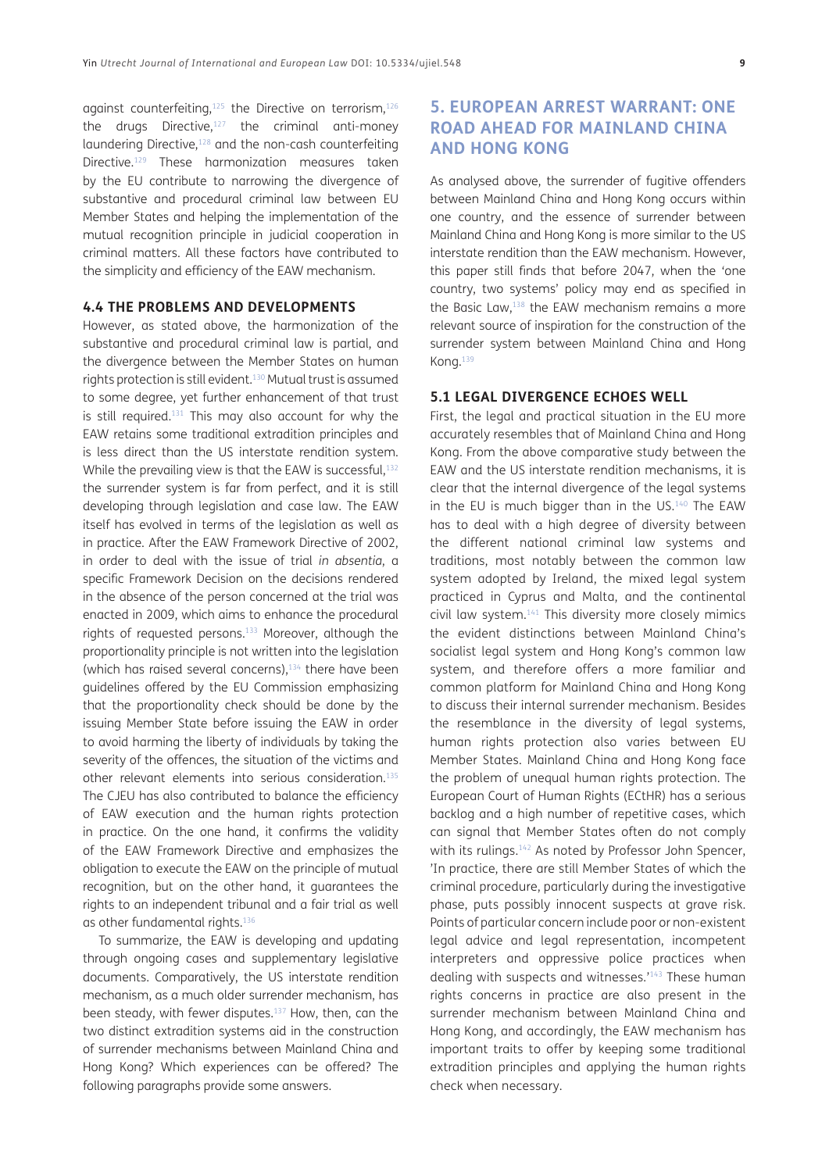against counterfeiting, $125$  the Directive on terrorism, $126$ the drugs Directive, $127$  the criminal anti-money laundering Directive,<sup>128</sup> and the non-cash counterfeiting Directive[.129](#page-15-2) These harmonization measures taken by the EU contribute to narrowing the divergence of substantive and procedural criminal law between EU Member States and helping the implementation of the mutual recognition principle in judicial cooperation in criminal matters. All these factors have contributed to the simplicity and efficiency of the EAW mechanism.

#### **4.4 THE PROBLEMS AND DEVELOPMENTS**

However, as stated above, the harmonization of the substantive and procedural criminal law is partial, and the divergence between the Member States on human rights protection is still evident[.130](#page-15-3) Mutual trust is assumed to some degree, yet further enhancement of that trust is still required. $131$  This may also account for why the EAW retains some traditional extradition principles and is less direct than the US interstate rendition system. While the prevailing view is that the EAW is successful, $132$ the surrender system is far from perfect, and it is still developing through legislation and case law. The EAW itself has evolved in terms of the legislation as well as in practice. After the EAW Framework Directive of 2002, in order to deal with the issue of trial *in absentia*, a specific Framework Decision on the decisions rendered in the absence of the person concerned at the trial was enacted in 2009, which aims to enhance the procedural rights of requested persons[.133](#page-15-4) Moreover, although the proportionality principle is not written into the legislation (which has raised several concerns), $134$  there have been guidelines offered by the EU Commission emphasizing that the proportionality check should be done by the issuing Member State before issuing the EAW in order to avoid harming the liberty of individuals by taking the severity of the offences, the situation of the victims and other relevant elements into serious consideration[.135](#page-15-5) The CJEU has also contributed to balance the efficiency of EAW execution and the human rights protection in practice. On the one hand, it confirms the validity of the EAW Framework Directive and emphasizes the obligation to execute the EAW on the principle of mutual recognition, but on the other hand, it guarantees the rights to an independent tribunal and a fair trial as well as other fundamental rights.136

To summarize, the EAW is developing and updating through ongoing cases and supplementary legislative documents. Comparatively, the US interstate rendition mechanism, as a much older surrender mechanism, has been steady, with fewer disputes.<sup>137</sup> How, then, can the two distinct extradition systems aid in the construction of surrender mechanisms between Mainland China and Hong Kong? Which experiences can be offered? The following paragraphs provide some answers.

## **5. EUROPEAN ARREST WARRANT: ONE ROAD AHEAD FOR MAINLAND CHINA AND HONG KONG**

As analysed above, the surrender of fugitive offenders between Mainland China and Hong Kong occurs within one country, and the essence of surrender between Mainland China and Hong Kong is more similar to the US interstate rendition than the EAW mechanism. However, this paper still finds that before 2047, when the 'one country, two systems' policy may end as specified in the Basic Law[,138](#page-15-7) the EAW mechanism remains a more relevant source of inspiration for the construction of the surrender system between Mainland China and Hong Kong.[139](#page-15-8)

#### **5.1 LEGAL DIVERGENCE ECHOES WELL**

First, the legal and practical situation in the EU more accurately resembles that of Mainland China and Hong Kong. From the above comparative study between the EAW and the US interstate rendition mechanisms, it is clear that the internal divergence of the legal systems in the EU is much bigger than in the US.<sup>[140](#page-15-9)</sup> The EAW has to deal with a high degree of diversity between the different national criminal law systems and traditions, most notably between the common law system adopted by Ireland, the mixed legal system practiced in Cyprus and Malta, and the continental civil law system.141 This diversity more closely mimics the evident distinctions between Mainland China's socialist legal system and Hong Kong's common law system, and therefore offers a more familiar and common platform for Mainland China and Hong Kong to discuss their internal surrender mechanism. Besides the resemblance in the diversity of legal systems, human rights protection also varies between EU Member States. Mainland China and Hong Kong face the problem of unequal human rights protection. The European Court of Human Rights (ECtHR) has a serious backlog and a high number of repetitive cases, which can signal that Member States often do not comply with its rulings.<sup>142</sup> As noted by Professor John Spencer, 'In practice, there are still Member States of which the criminal procedure, particularly during the investigative phase, puts possibly innocent suspects at grave risk. Points of particular concern include poor or non-existent legal advice and legal representation, incompetent interpreters and oppressive police practices when dealing with suspects and witnesses.'143 These human rights concerns in practice are also present in the surrender mechanism between Mainland China and Hong Kong, and accordingly, the EAW mechanism has important traits to offer by keeping some traditional extradition principles and applying the human rights check when necessary.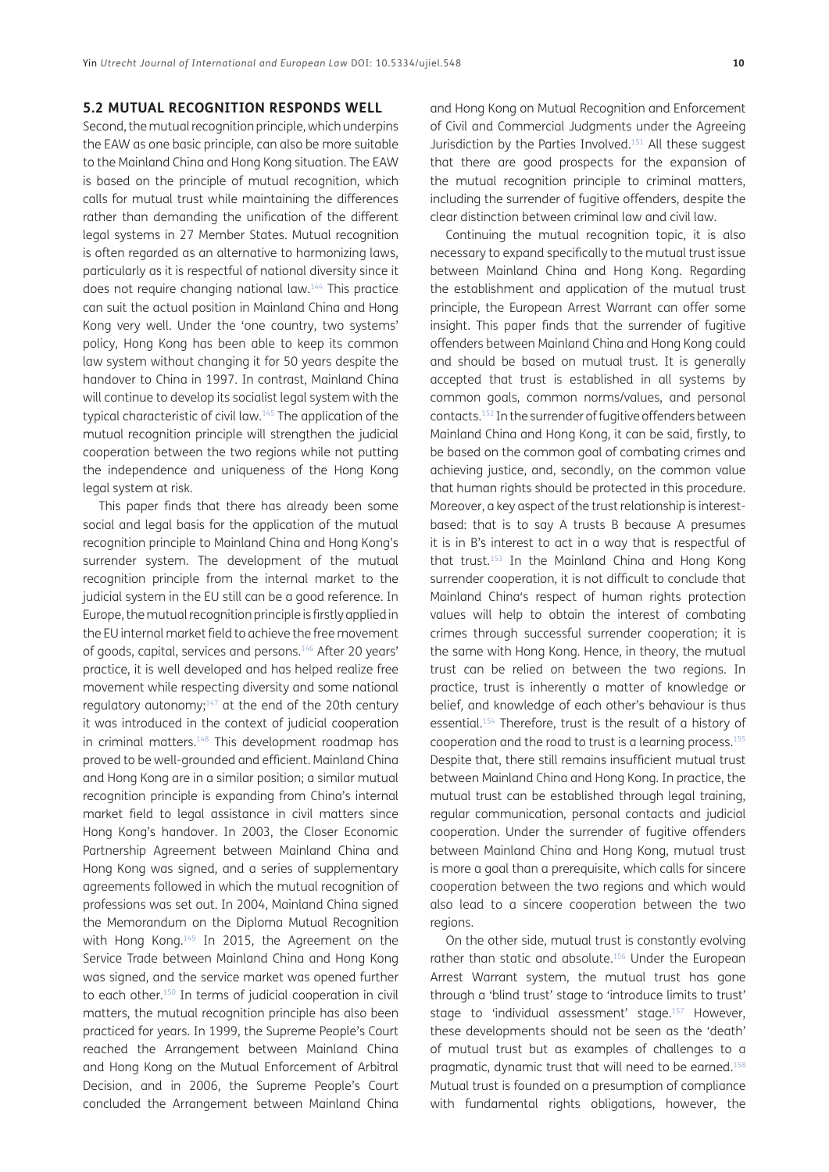#### **5.2 MUTUAL RECOGNITION RESPONDS WELL**

Second, the mutual recognition principle, which underpins the EAW as one basic principle, can also be more suitable to the Mainland China and Hong Kong situation. The EAW is based on the principle of mutual recognition, which calls for mutual trust while maintaining the differences rather than demanding the unification of the different legal systems in 27 Member States. Mutual recognition is often regarded as an alternative to harmonizing laws, particularly as it is respectful of national diversity since it does not require changing national law.144 This practice can suit the actual position in Mainland China and Hong Kong very well. Under the 'one country, two systems' policy, Hong Kong has been able to keep its common law system without changing it for 50 years despite the handover to China in 1997. In contrast, Mainland China will continue to develop its socialist legal system with the typical characteristic of civil law[.145](#page-15-11) The application of the mutual recognition principle will strengthen the judicial cooperation between the two regions while not putting the independence and uniqueness of the Hong Kong legal system at risk.

This paper finds that there has already been some social and legal basis for the application of the mutual recognition principle to Mainland China and Hong Kong's surrender system. The development of the mutual recognition principle from the internal market to the judicial system in the EU still can be a good reference. In Europe, the mutual recognition principle is firstly applied in the EU internal market field to achieve the free movement of goods, capital, services and persons[.146](#page-15-12) After 20 years' practice, it is well developed and has helped realize free movement while respecting diversity and some national regulatory autonomy; $147$  at the end of the 20th century it was introduced in the context of judicial cooperation in criminal matters. $148$  This development roadmap has proved to be well-grounded and efficient. Mainland China and Hong Kong are in a similar position; a similar mutual recognition principle is expanding from China's internal market field to legal assistance in civil matters since Hong Kong's handover. In 2003, the Closer Economic Partnership Agreement between Mainland China and Hong Kong was signed, and a series of supplementary agreements followed in which the mutual recognition of professions was set out. In 2004, Mainland China signed the Memorandum on the Diploma Mutual Recognition with Hong Kong.149 In 2015, the Agreement on the Service Trade between Mainland China and Hong Kong was signed, and the service market was opened further to each other.150 In terms of judicial cooperation in civil matters, the mutual recognition principle has also been practiced for years. In 1999, the Supreme People's Court reached the Arrangement between Mainland China and Hong Kong on the Mutual Enforcement of Arbitral Decision, and in 2006, the Supreme People's Court concluded the Arrangement between Mainland China and Hong Kong on Mutual Recognition and Enforcement of Civil and Commercial Judgments under the Agreeing Jurisdiction by the Parties Involved.151 All these suggest that there are good prospects for the expansion of the mutual recognition principle to criminal matters, including the surrender of fugitive offenders, despite the clear distinction between criminal law and civil law.

Continuing the mutual recognition topic, it is also necessary to expand specifically to the mutual trust issue between Mainland China and Hong Kong. Regarding the establishment and application of the mutual trust principle, the European Arrest Warrant can offer some insight. This paper finds that the surrender of fugitive offenders between Mainland China and Hong Kong could and should be based on mutual trust. It is generally accepted that trust is established in all systems by common goals, common norms/values, and personal contacts.152 In the surrender of fugitive offenders between Mainland China and Hong Kong, it can be said, firstly, to be based on the common goal of combating crimes and achieving justice, and, secondly, on the common value that human rights should be protected in this procedure. Moreover, a key aspect of the trust relationship is interestbased: that is to say A trusts B because A presumes it is in B's interest to act in a way that is respectful of that trust[.153](#page-15-14) In the Mainland China and Hong Kong surrender cooperation, it is not difficult to conclude that Mainland China's respect of human rights protection values will help to obtain the interest of combating crimes through successful surrender cooperation; it is the same with Hong Kong. Hence, in theory, the mutual trust can be relied on between the two regions. In practice, trust is inherently a matter of knowledge or belief, and knowledge of each other's behaviour is thus essential.154 Therefore, trust is the result of a history of cooperation and the road to trust is a learning process.[155](#page-15-15) Despite that, there still remains insufficient mutual trust between Mainland China and Hong Kong. In practice, the mutual trust can be established through legal training, regular communication, personal contacts and judicial cooperation. Under the surrender of fugitive offenders between Mainland China and Hong Kong, mutual trust is more a goal than a prerequisite, which calls for sincere cooperation between the two regions and which would also lead to a sincere cooperation between the two regions.

On the other side, mutual trust is constantly evolving rather than static and absolute.<sup>156</sup> Under the European Arrest Warrant system, the mutual trust has gone through a 'blind trust' stage to 'introduce limits to trust' stage to 'individual assessment' stage.<sup>157</sup> However, these developments should not be seen as the 'death' of mutual trust but as examples of challenges to a pragmatic, dynamic trust that will need to be earned.[158](#page-15-18) Mutual trust is founded on a presumption of compliance with fundamental rights obligations, however, the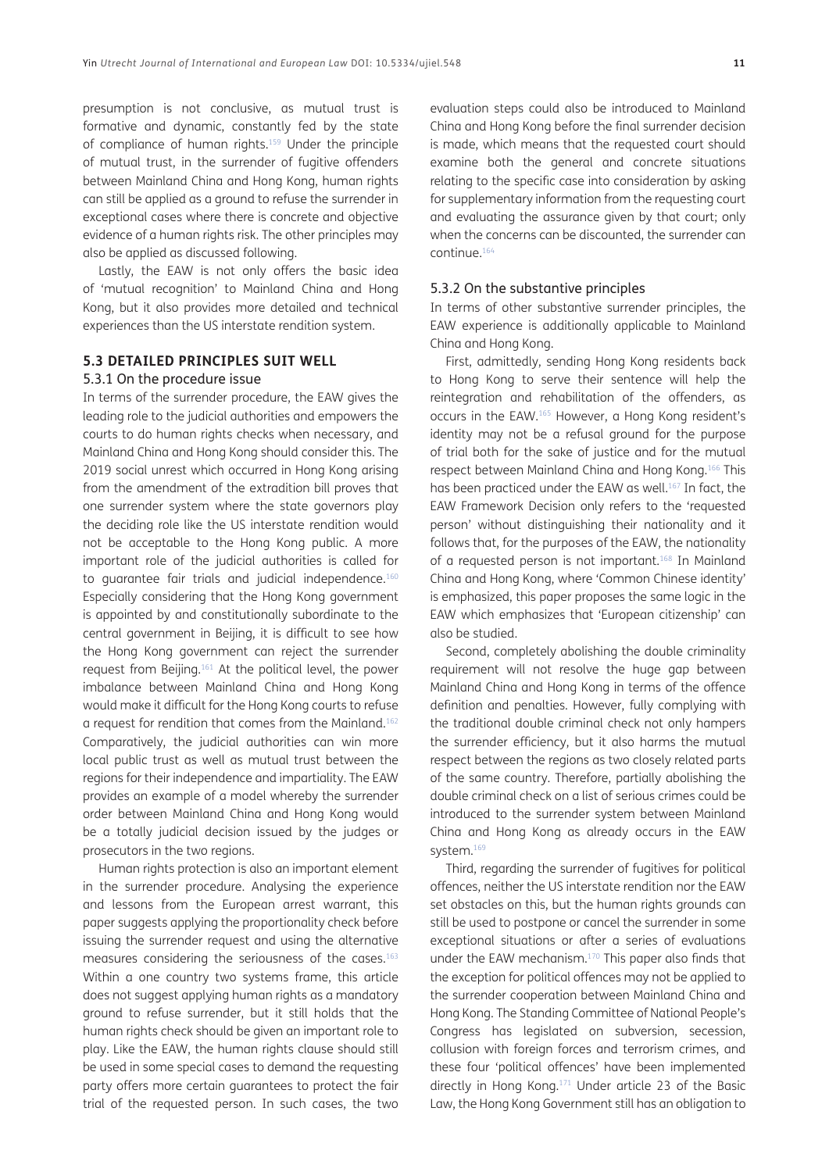presumption is not conclusive, as mutual trust is formative and dynamic, constantly fed by the state of compliance of human rights.<sup>159</sup> Under the principle of mutual trust, in the surrender of fugitive offenders between Mainland China and Hong Kong, human rights can still be applied as a ground to refuse the surrender in exceptional cases where there is concrete and objective evidence of a human rights risk. The other principles may also be applied as discussed following.

Lastly, the EAW is not only offers the basic idea of 'mutual recognition' to Mainland China and Hong Kong, but it also provides more detailed and technical experiences than the US interstate rendition system.

## **5.3 DETAILED PRINCIPLES SUIT WELL**

#### 5.3.1 On the procedure issue

In terms of the surrender procedure, the EAW gives the leading role to the judicial authorities and empowers the courts to do human rights checks when necessary, and Mainland China and Hong Kong should consider this. The 2019 social unrest which occurred in Hong Kong arising from the amendment of the extradition bill proves that one surrender system where the state governors play the deciding role like the US interstate rendition would not be acceptable to the Hong Kong public. A more important role of the judicial authorities is called for to quarantee fair trials and judicial independence.<sup>160</sup> Especially considering that the Hong Kong government is appointed by and constitutionally subordinate to the central government in Beijing, it is difficult to see how the Hong Kong government can reject the surrender request from Beijing.161 At the political level, the power imbalance between Mainland China and Hong Kong would make it difficult for the Hong Kong courts to refuse a request for rendition that comes from the Mainland.162 Comparatively, the judicial authorities can win more local public trust as well as mutual trust between the regions for their independence and impartiality. The EAW provides an example of a model whereby the surrender order between Mainland China and Hong Kong would be a totally judicial decision issued by the judges or prosecutors in the two regions.

Human rights protection is also an important element in the surrender procedure. Analysing the experience and lessons from the European arrest warrant, this paper suggests applying the proportionality check before issuing the surrender request and using the alternative measures considering the seriousness of the cases.<sup>163</sup> Within a one country two systems frame, this article does not suggest applying human rights as a mandatory ground to refuse surrender, but it still holds that the human rights check should be given an important role to play. Like the EAW, the human rights clause should still be used in some special cases to demand the requesting party offers more certain guarantees to protect the fair trial of the requested person. In such cases, the two evaluation steps could also be introduced to Mainland China and Hong Kong before the final surrender decision is made, which means that the requested court should examine both the general and concrete situations relating to the specific case into consideration by asking for supplementary information from the requesting court and evaluating the assurance given by that court; only when the concerns can be discounted, the surrender can continue[.164](#page-15-21)

#### 5.3.2 On the substantive principles

In terms of other substantive surrender principles, the EAW experience is additionally applicable to Mainland China and Hong Kong.

First, admittedly, sending Hong Kong residents back to Hong Kong to serve their sentence will help the reintegration and rehabilitation of the offenders, as occurs in the EAW.[165](#page-15-22) However, a Hong Kong resident's identity may not be a refusal ground for the purpose of trial both for the sake of justice and for the mutual respect between Mainland China and Hong Kong[.166](#page-15-23) This has been practiced under the EAW as well.<sup>[167](#page-15-24)</sup> In fact, the EAW Framework Decision only refers to the 'requested person' without distinguishing their nationality and it follows that, for the purposes of the EAW, the nationality of a requested person is not important.<sup>168</sup> In Mainland China and Hong Kong, where 'Common Chinese identity' is emphasized, this paper proposes the same logic in the EAW which emphasizes that 'European citizenship' can also be studied.

Second, completely abolishing the double criminality requirement will not resolve the huge gap between Mainland China and Hong Kong in terms of the offence definition and penalties. However, fully complying with the traditional double criminal check not only hampers the surrender efficiency, but it also harms the mutual respect between the regions as two closely related parts of the same country. Therefore, partially abolishing the double criminal check on a list of serious crimes could be introduced to the surrender system between Mainland China and Hong Kong as already occurs in the EAW system.<sup>169</sup>

Third, regarding the surrender of fugitives for political offences, neither the US interstate rendition nor the EAW set obstacles on this, but the human rights grounds can still be used to postpone or cancel the surrender in some exceptional situations or after a series of evaluations under the EAW mechanism[.170](#page-15-27) This paper also finds that the exception for political offences may not be applied to the surrender cooperation between Mainland China and Hong Kong. The Standing Committee of National People's Congress has legislated on subversion, secession, collusion with foreign forces and terrorism crimes, and these four 'political offences' have been implemented directly in Hong Kong.[171](#page-15-28) Under article 23 of the Basic Law, the Hong Kong Government still has an obligation to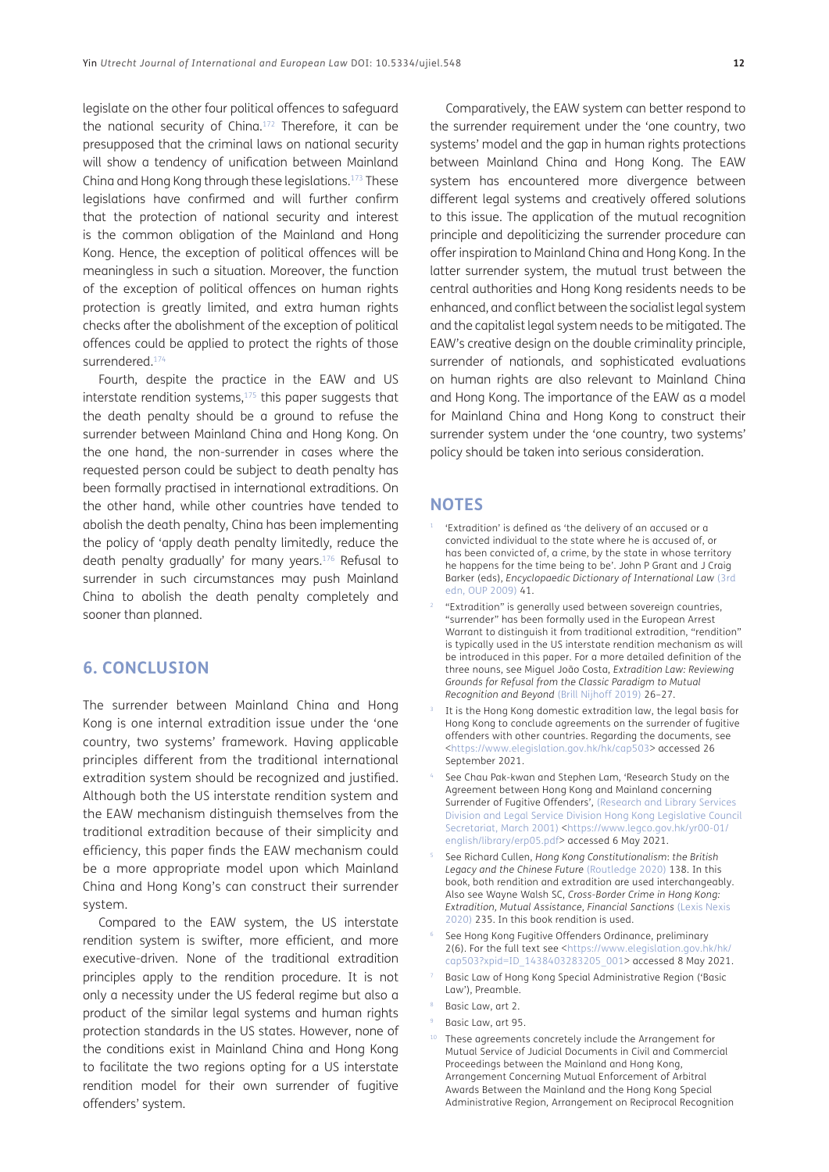legislate on the other four political offences to safeguard the national security of China.[172](#page-15-29) Therefore, it can be presupposed that the criminal laws on national security will show a tendency of unification between Mainland China and Hong Kong through these legislations.[173](#page-15-30) These legislations have confirmed and will further confirm that the protection of national security and interest is the common obligation of the Mainland and Hong Kong. Hence, the exception of political offences will be meaningless in such a situation. Moreover, the function of the exception of political offences on human rights protection is greatly limited, and extra human rights checks after the abolishment of the exception of political offences could be applied to protect the rights of those surrendered.<sup>174</sup>

Fourth, despite the practice in the EAW and US interstate rendition systems,<sup>175</sup> this paper suggests that the death penalty should be a ground to refuse the surrender between Mainland China and Hong Kong. On the one hand, the non-surrender in cases where the requested person could be subject to death penalty has been formally practised in international extraditions. On the other hand, while other countries have tended to abolish the death penalty, China has been implementing the policy of 'apply death penalty limitedly, reduce the death penalty gradually' for many years.[176](#page-16-1) Refusal to surrender in such circumstances may push Mainland China to abolish the death penalty completely and sooner than planned.

## **6. CONCLUSION**

The surrender between Mainland China and Hong Kong is one internal extradition issue under the 'one country, two systems' framework. Having applicable principles different from the traditional international extradition system should be recognized and justified. Although both the US interstate rendition system and the EAW mechanism distinguish themselves from the traditional extradition because of their simplicity and efficiency, this paper finds the EAW mechanism could be a more appropriate model upon which Mainland China and Hong Kong's can construct their surrender system.

Compared to the EAW system, the US interstate rendition system is swifter, more efficient, and more executive-driven. None of the traditional extradition principles apply to the rendition procedure. It is not only a necessity under the US federal regime but also a product of the similar legal systems and human rights protection standards in the US states. However, none of the conditions exist in Mainland China and Hong Kong to facilitate the two regions opting for a US interstate rendition model for their own surrender of fugitive offenders' system.

Comparatively, the EAW system can better respond to the surrender requirement under the 'one country, two systems' model and the gap in human rights protections between Mainland China and Hong Kong. The EAW system has encountered more divergence between different legal systems and creatively offered solutions to this issue. The application of the mutual recognition principle and depoliticizing the surrender procedure can offer inspiration to Mainland China and Hong Kong. In the latter surrender system, the mutual trust between the central authorities and Hong Kong residents needs to be enhanced, and conflict between the socialist legal system and the capitalist legal system needs to be mitigated. The EAW's creative design on the double criminality principle, surrender of nationals, and sophisticated evaluations on human rights are also relevant to Mainland China and Hong Kong. The importance of the EAW as a model for Mainland China and Hong Kong to construct their surrender system under the 'one country, two systems' policy should be taken into serious consideration.

### **NOTES**

- $1$  'Extradition' is defined as 'the delivery of an accused or a convicted individual to the state where he is accused of, or has been convicted of, a crime, by the state in whose territory he happens for the time being to be'. John P Grant and J Craig Barker (eds), *Encyclopaedic Dictionary of International Law* (3rd edn, OUP 2009) 41.
- <span id="page-11-0"></span>"Extradition" is generally used between sovereign countries, "surrender" has been formally used in the European Arrest Warrant to distinguish it from traditional extradition, "rendition" is typically used in the US interstate rendition mechanism as will be introduced in this paper. For a more detailed definition of the three nouns, see Miguel João Costa, *Extradition Law: Reviewing Grounds for Refusal from the Classic Paradigm to Mutual Recognition and Beyond* (Brill Nijhoff 2019) 26–27.
- <span id="page-11-1"></span>It is the Hong Kong domestic extradition law, the legal basis for Hong Kong to conclude agreements on the surrender of fugitive offenders with other countries. Regarding the documents, see <[https://www.elegislation.gov.hk/hk/cap503>](https://www.elegislation.gov.hk/hk/cap503) accessed 26 September 2021.
- <span id="page-11-2"></span>See Chau Pak-kwan and Stephen Lam, 'Research Study on the Agreement between Hong Kong and Mainland concerning Surrender of Fugitive Offenders', [\(Research and Library Services](#page-17-0)  [Division and Legal Service Division Hong Kong Legislative Council](#page-17-0)  [Secretariat, March 2001\)](#page-17-0) <[https://www.legco.gov.hk/yr00-01/](https://www.legco.gov.hk/yr00-01/english/library/erp05.pdf) [english/library/erp05.pdf>](https://www.legco.gov.hk/yr00-01/english/library/erp05.pdf) accessed 6 May 2021.
- <span id="page-11-3"></span><sup>5</sup> See Richard Cullen, *Hong Kong Constitutionalism*: *the British Legacy and the Chinese Future* (Routledge 2020) 138. In this book, both rendition and extradition are used interchangeably. Also see Wayne Walsh SC, *Cross-Border Crime in Hong Kong: Extradition, Mutual Assistance, Financial Sanctions* (Lexis Nexis 2020) 235. In this book rendition is used.
- <span id="page-11-4"></span>See Hong Kong Fugitive Offenders Ordinance, preliminary 2(6). For the full text see <[https://www.elegislation.gov.hk/hk/](https://www.elegislation.gov.hk/hk/cap503?xpid=ID_1438403283205_001) [cap503?xpid=ID\\_1438403283205\\_001](https://www.elegislation.gov.hk/hk/cap503?xpid=ID_1438403283205_001)> accessed 8 May 2021.
- <span id="page-11-5"></span>Basic Law of Hong Kong Special Administrative Region ('Basic Law'), Preamble.
- <span id="page-11-6"></span><sup>8</sup> Basic Law, art 2.
- <span id="page-11-7"></span>Basic Law, art 95.
- <span id="page-11-8"></span><sup>10</sup> These agreements concretely include the Arrangement for Mutual Service of Judicial Documents in Civil and Commercial Proceedings between the Mainland and Hong Kong, Arrangement Concerning Mutual Enforcement of Arbitral Awards Between the Mainland and the Hong Kong Special Administrative Region, Arrangement on Reciprocal Recognition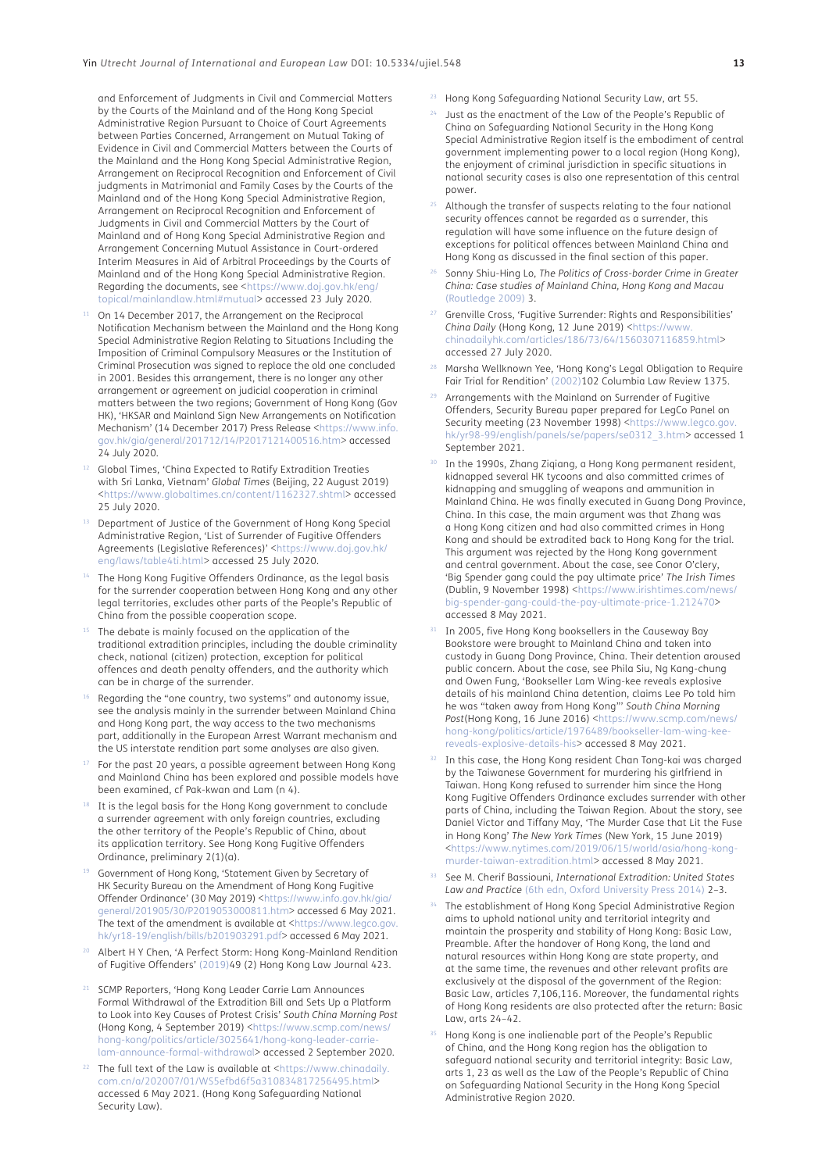and Enforcement of Judgments in Civil and Commercial Matters by the Courts of the Mainland and of the Hong Kong Special Administrative Region Pursuant to Choice of Court Agreements between Parties Concerned, Arrangement on Mutual Taking of Evidence in Civil and Commercial Matters between the Courts of the Mainland and the Hong Kong Special Administrative Region, Arrangement on Reciprocal Recognition and Enforcement of Civil judgments in Matrimonial and Family Cases by the Courts of the Mainland and of the Hong Kong Special Administrative Region, Arrangement on Reciprocal Recognition and Enforcement of Judgments in Civil and Commercial Matters by the Court of Mainland and of Hong Kong Special Administrative Region and Arrangement Concerning Mutual Assistance in Court-ordered Interim Measures in Aid of Arbitral Proceedings by the Courts of Mainland and of the Hong Kong Special Administrative Region. Regarding the documents, see [<https://www.doj.gov.hk/eng/](https://www.doj.gov.hk/eng/topical/mainlandlaw.html#mutual) [topical/mainlandlaw.html#mutual>](https://www.doj.gov.hk/eng/topical/mainlandlaw.html#mutual) accessed 23 July 2020.

- <span id="page-12-0"></span><sup>11</sup> On 14 December 2017, the Arrangement on the Reciprocal Notification Mechanism between the Mainland and the Hong Kong Special Administrative Region Relating to Situations Including the Imposition of Criminal Compulsory Measures or the Institution of Criminal Prosecution was signed to replace the old one concluded in 2001. Besides this arrangement, there is no longer any other arrangement or agreement on judicial cooperation in criminal matters between the two regions; Government of Hong Kong (Gov HK), 'HKSAR and Mainland Sign New Arrangements on Notification Mechanism' (14 December 2017) Press Release [<https://www.info.](https://www.info.gov.hk/gia/general/201712/14/P2017121400516.htm) [gov.hk/gia/general/201712/14/P2017121400516.htm>](https://www.info.gov.hk/gia/general/201712/14/P2017121400516.htm) accessed 24 July 2020.
- <sup>12</sup> Global Times, 'China Expected to Ratify Extradition Treaties with Sri Lanka, Vietnam' *Global Times* (Beijing, 22 August 2019) <<https://www.globaltimes.cn/content/1162327.shtml>> accessed 25 July 2020.
- <sup>13</sup> Department of Justice of the Government of Hong Kong Special Administrative Region, 'List of Surrender of Fugitive Offenders Agreements (Legislative References)' <[https://www.doj.gov.hk/](https://www.doj.gov.hk/eng/laws/table4ti.html) [eng/laws/table4ti.html](https://www.doj.gov.hk/eng/laws/table4ti.html)> accessed 25 July 2020.
- <span id="page-12-1"></span>The Hong Kong Fugitive Offenders Ordinance, as the legal basis for the surrender cooperation between Hong Kong and any other legal territories, excludes other parts of the People's Republic of China from the possible cooperation scope.
- <span id="page-12-2"></span>The debate is mainly focused on the application of the traditional extradition principles, including the double criminality check, national (citizen) protection, exception for political offences and death penalty offenders, and the authority which can be in charge of the surrender.
- Regarding the "one country, two systems" and autonomy issue, see the analysis mainly in the surrender between Mainland China and Hong Kong part, the way access to the two mechanisms part, additionally in the European Arrest Warrant mechanism and the US interstate rendition part some analyses are also given.
- <span id="page-12-3"></span>For the past 20 years, a possible agreement between Hong Kong and Mainland China has been explored and possible models have been examined, cf Pak-kwan and Lam (n 4).
- <span id="page-12-4"></span>It is the legal basis for the Hong Kong government to conclude a surrender agreement with only foreign countries, excluding the other territory of the People's Republic of China, about its application territory. See Hong Kong Fugitive Offenders Ordinance, preliminary 2(1)(a).
- <span id="page-12-5"></span>Government of Hong Kong, 'Statement Given by Secretary of HK Security Bureau on the Amendment of Hong Kong Fugitive Offender Ordinance' (30 May 2019) <[https://www.info.gov.hk/gia/](https://www.info.gov.hk/gia/general/201905/30/P2019053000811.htm) [general/201905/30/P2019053000811.htm>](https://www.info.gov.hk/gia/general/201905/30/P2019053000811.htm) accessed 6 May 2021. The text of the amendment is available at <[https://www.legco.gov.](https://www.legco.gov.hk/yr18-19/english/bills/b201903291.pdf) [hk/yr18-19/english/bills/b201903291.pdf](https://www.legco.gov.hk/yr18-19/english/bills/b201903291.pdf)> accessed 6 May 2021.
- <span id="page-12-6"></span>Albert H Y Chen, 'A Perfect Storm: Hong Kong-Mainland Rendition of Fugitive Offenders' ([2019](#page-16-2))49 (2) Hong Kong Law Journal 423.
- <span id="page-12-7"></span>SCMP Reporters, 'Hong Kong Leader Carrie Lam Announces Formal Withdrawal of the Extradition Bill and Sets Up a Platform to Look into Key Causes of Protest Crisis' *South China Morning Post*  (Hong Kong, 4 September 2019) <[https://www.scmp.com/news/](https://www.scmp.com/news/hong-kong/politics/article/3025641/hong-kong-leader-carrie-lam-announce-formal-withdrawal) [hong-kong/politics/article/3025641/hong-kong-leader-carrie](https://www.scmp.com/news/hong-kong/politics/article/3025641/hong-kong-leader-carrie-lam-announce-formal-withdrawal)[lam-announce-formal-withdrawal](https://www.scmp.com/news/hong-kong/politics/article/3025641/hong-kong-leader-carrie-lam-announce-formal-withdrawal)> accessed 2 September 2020.
- <span id="page-12-8"></span>The full text of the Law is available at <[https://www.chinadaily.](https://www.chinadaily.com.cn/a/202007/01/WS5efbd6f5a310834817256495.html) [com.cn/a/202007/01/WS5efbd6f5a310834817256495.html>](https://www.chinadaily.com.cn/a/202007/01/WS5efbd6f5a310834817256495.html) accessed 6 May 2021. (Hong Kong Safeguarding National Security Law).
- <span id="page-12-9"></span><sup>23</sup> Hong Kong Safeguarding National Security Law, art 55.
- <span id="page-12-10"></span><sup>24</sup> Just as the enactment of the Law of the People's Republic of China on Safeguarding National Security in the Hong Kong Special Administrative Region itself is the embodiment of central government implementing power to a local region (Hong Kong), the enjoyment of criminal jurisdiction in specific situations in national security cases is also one representation of this central power.
- <span id="page-12-11"></span><sup>25</sup> Although the transfer of suspects relating to the four national security offences cannot be regarded as a surrender, this regulation will have some influence on the future design of exceptions for political offences between Mainland China and Hong Kong as discussed in the final section of this paper.
- <span id="page-12-12"></span><sup>26</sup> Sonny Shiu-Hing Lo, *The Politics of Cross-border Crime in Greater China: Case studies of Mainland China, Hong Kong and Macau* (Routledge 2009) 3.
- <span id="page-12-13"></span><sup>27</sup> Grenville Cross, 'Fugitive Surrender: Rights and Responsibilities' *China Daily* (Hong Kong, 12 June 2019) <[https://www.](https://www.chinadailyhk.com/articles/186/73/64/1560307116859.html) [chinadailyhk.com/articles/186/73/64/1560307116859.html](https://www.chinadailyhk.com/articles/186/73/64/1560307116859.html)> accessed 27 July 2020.
- <span id="page-12-14"></span><sup>28</sup> Marsha Wellknown Yee, 'Hong Kong's Legal Obligation to Require Fair Trial for Rendition' [\(2002](#page-17-1))102 Columbia Law Review 1375.
- <span id="page-12-15"></span><sup>29</sup> Arrangements with the Mainland on Surrender of Fugitive Offenders, Security Bureau paper prepared for LegCo Panel on Security meeting (23 November 1998) <https://www.legco.go [hk/yr98-99/english/panels/se/papers/se0312\\_3.htm](https://www.legco.gov.hk/yr98-99/english/panels/se/papers/se0312_3.htm)> accessed 1 September 2021.
- <span id="page-12-16"></span>In the 1990s, Zhang Ziqiang, a Hong Kong permanent resident, kidnapped several HK tycoons and also committed crimes of kidnapping and smuggling of weapons and ammunition in Mainland China. He was finally executed in Guang Dong Province, China. In this case, the main argument was that Zhang was a Hong Kong citizen and had also committed crimes in Hong Kong and should be extradited back to Hong Kong for the trial. This argument was rejected by the Hong Kong government and central government. About the case, see Conor O'clery, 'Big Spender gang could the pay ultimate price' *The Irish Times*  (Dublin, 9 November 1998) [<https://www.irishtimes.com/news/](https://www.irishtimes.com/news/big-spender-gang-could-the-pay-ultimate-price-1.212470) [big-spender-gang-could-the-pay-ultimate-price-1.212470](https://www.irishtimes.com/news/big-spender-gang-could-the-pay-ultimate-price-1.212470)> accessed 8 May 2021.
- <span id="page-12-17"></span>31 In 2005, five Hong Kong booksellers in the Causeway Bay Bookstore were brought to Mainland China and taken into custody in Guang Dong Province, China. Their detention aroused public concern. About the case, see Phila Siu, Ng Kang-chung and Owen Fung, 'Bookseller Lam Wing-kee reveals explosive details of his mainland China detention, claims Lee Po told him he was "taken away from Hong Kong"' *South China Morning Post*(Hong Kong, 16 June 2016) <[https://www.scmp.com/news/](https://www.scmp.com/news/hong-kong/politics/article/1976489/bookseller-lam-wing-kee-reveals-explosive-details-his) [hong-kong/politics/article/1976489/bookseller-lam-wing-kee](https://www.scmp.com/news/hong-kong/politics/article/1976489/bookseller-lam-wing-kee-reveals-explosive-details-his)[reveals-explosive-details-his](https://www.scmp.com/news/hong-kong/politics/article/1976489/bookseller-lam-wing-kee-reveals-explosive-details-his)> accessed 8 May 2021.
- <span id="page-12-18"></span>32 In this case, the Hong Kong resident Chan Tong-kai was charged by the Taiwanese Government for murdering his girlfriend in Taiwan. Hong Kong refused to surrender him since the Hong Kong Fugitive Offenders Ordinance excludes surrender with other parts of China, including the Taiwan Region. About the story, see Daniel Victor and Tiffany May, 'The Murder Case that Lit the Fuse in Hong Kong' *The New York Times* (New York, 15 June 2019) <[https://www.nytimes.com/2019/06/15/world/asia/hong-kong](https://www.nytimes.com/2019/06/15/world/asia/hong-kong-murder-taiwan-extradition.html)[murder-taiwan-extradition.html](https://www.nytimes.com/2019/06/15/world/asia/hong-kong-murder-taiwan-extradition.html)> accessed 8 May 2021.
- <span id="page-12-19"></span><sup>33</sup> See M. Cherif Bassiouni, *International Extradition: United States Law and Practice* (6th edn, Oxford University Press 2014) 2–3.
- <span id="page-12-20"></span>The establishment of Hong Kong Special Administrative Region aims to uphold national unity and territorial integrity and maintain the prosperity and stability of Hong Kong: Basic Law, Preamble. After the handover of Hong Kong, the land and natural resources within Hong Kong are state property, and at the same time, the revenues and other relevant profits are exclusively at the disposal of the government of the Region: Basic Law, articles 7,106,116. Moreover, the fundamental rights of Hong Kong residents are also protected after the return: Basic Law, arts 24–42.
- <span id="page-12-21"></span><sup>35</sup> Hong Kong is one inalienable part of the People's Republic of China, and the Hong Kong region has the obligation to safeguard national security and territorial integrity: Basic Law, arts 1, 23 as well as the Law of the People's Republic of China on Safeguarding National Security in the Hong Kong Special Administrative Region 2020.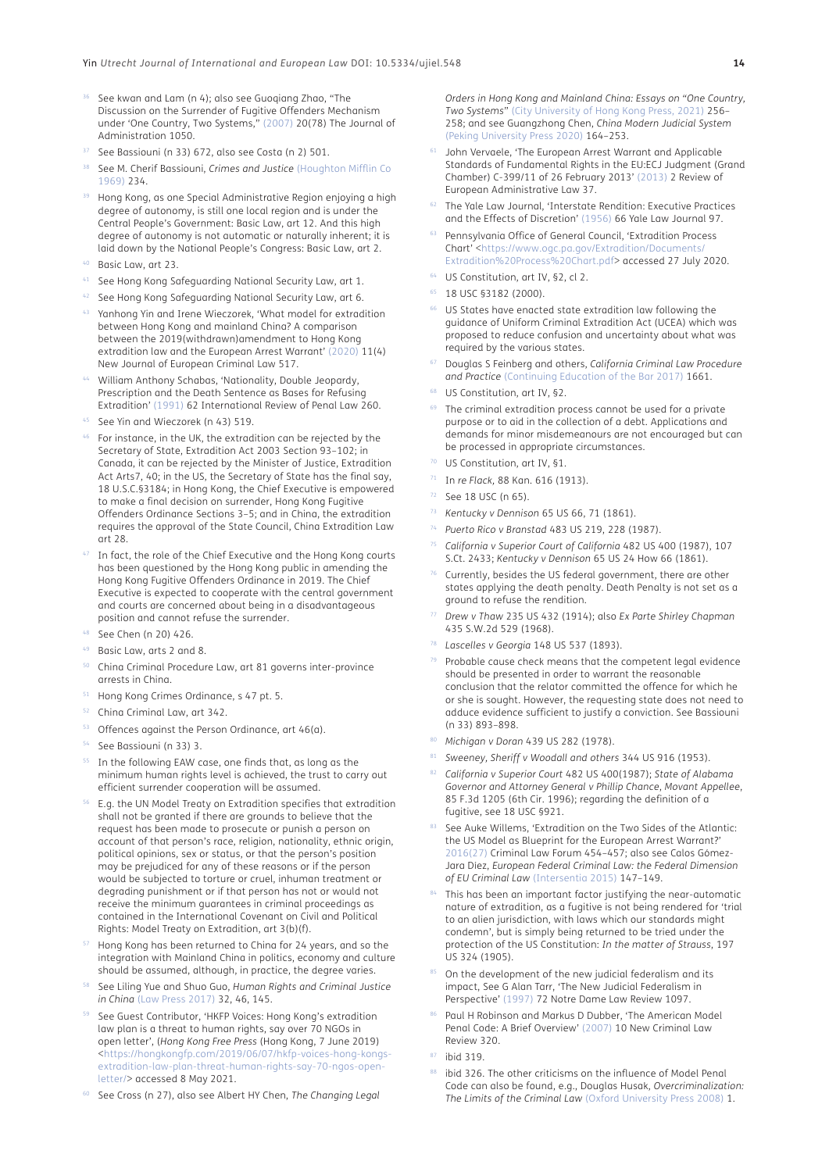- <span id="page-13-0"></span>36 See kwan and Lam (n 4); also see Guoqiang Zhao, "The Discussion on the Surrender of Fugitive Offenders Mechanism under 'One Country, Two Systems," [\(2007](#page-17-2)) 20(78) The Journal of Administration 1050.
- <span id="page-13-1"></span>See Bassiouni (n 33) 672, also see Costa (n 2) 501.
- <span id="page-13-2"></span><sup>38</sup> See M. Cherif Bassiouni, *Crimes and Justice* (Houghton Mifflin Co 1969) 234.
- <span id="page-13-3"></span>Hong Kong, as one Special Administrative Region enjoying a high degree of autonomy, is still one local region and is under the Central People's Government: Basic Law, art 12. And this high degree of autonomy is not automatic or naturally inherent; it is laid down by the National People's Congress: Basic Law, art 2.
- <span id="page-13-4"></span>Basic Law, art 23.
- <span id="page-13-5"></span>41 See Hong Kong Safeguarding National Security Law, art 1.
- <span id="page-13-6"></span>See Hong Kong Safeguarding National Security Law, art 6.
- <span id="page-13-7"></span><sup>43</sup> Yanhong Yin and Irene Wieczorek, 'What model for extradition between Hong Kong and mainland China? A comparison between the 2019(withdrawn)amendment to Hong Kong extradition law and the European Arrest Warrant' [\(2020](#page-17-3)) 11(4) New Journal of European Criminal Law 517.
- <span id="page-13-8"></span><sup>44</sup> William Anthony Schabas, 'Nationality, Double Jeopardy, Prescription and the Death Sentence as Bases for Refusing Extradition' ([1991\)](#page-17-4) 62 International Review of Penal Law 260.
- <span id="page-13-9"></span>See Yin and Wieczorek (n 43) 519.
- <span id="page-13-10"></span><sup>46</sup> For instance, in the UK, the extradition can be rejected by the Secretary of State, Extradition Act 2003 Section 93–102; in Canada, it can be rejected by the Minister of Justice, Extradition Act Arts7, 40; in the US, the Secretary of State has the final say, 18 U.S.C.§3184; in Hong Kong, the Chief Executive is empowered to make a final decision on surrender, Hong Kong Fugitive Offenders Ordinance Sections 3–5; and in China, the extradition requires the approval of the State Council, China Extradition Law art 28.
- <span id="page-13-11"></span>In fact, the role of the Chief Executive and the Hong Kong courts has been questioned by the Hong Kong public in amending the Hong Kong Fugitive Offenders Ordinance in 2019. The Chief Executive is expected to cooperate with the central government and courts are concerned about being in a disadvantageous position and cannot refuse the surrender.
- <span id="page-13-12"></span><sup>48</sup> See Chen (n 20) 426.
- <span id="page-13-13"></span><sup>49</sup> Basic Law, arts 2 and 8.
- <span id="page-13-14"></span><sup>50</sup> China Criminal Procedure Law, art 81 governs inter-province arrests in China.
- <span id="page-13-15"></span><sup>51</sup> Hong Kong Crimes Ordinance, s 47 pt. 5.
- <span id="page-13-16"></span><sup>52</sup> China Criminal Law, art 342.
- <span id="page-13-17"></span> $53$  Offences against the Person Ordinance, art 46(a).
- <span id="page-13-18"></span><sup>54</sup> See Bassiouni (n 33) 3.
- <span id="page-13-19"></span>In the following EAW case, one finds that, as long as the minimum human rights level is achieved, the trust to carry out efficient surrender cooperation will be assumed.
- <span id="page-13-20"></span><sup>56</sup> E.g. the UN Model Treaty on Extradition specifies that extradition shall not be granted if there are grounds to believe that the request has been made to prosecute or punish a person on account of that person's race, religion, nationality, ethnic origin, political opinions, sex or status, or that the person's position may be prejudiced for any of these reasons or if the person would be subjected to torture or cruel, inhuman treatment or degrading punishment or if that person has not or would not receive the minimum guarantees in criminal proceedings as contained in the International Covenant on Civil and Political Rights: Model Treaty on Extradition, art 3(b)(f).
- <span id="page-13-21"></span>Hong Kong has been returned to China for 24 years, and so the integration with Mainland China in politics, economy and culture should be assumed, although, in practice, the degree varies.
- <span id="page-13-22"></span><sup>58</sup> See Liling Yue and Shuo Guo, *Human Rights and Criminal Justice in China* (Law Press 2017) 32, 46, 145.
- <span id="page-13-23"></span>See Guest Contributor, 'HKFP Voices: Hong Kong's extradition law plan is a threat to human rights, say over 70 NGOs in open letter', (*Hong Kong Free Press* (Hong Kong, 7 June 2019) <[https://hongkongfp.com/2019/06/07/hkfp-voices-hong-kongs](https://hongkongfp.com/2019/06/07/hkfp-voices-hong-kongs-extradition-law-plan-threat-human-rights-say-70-ngos-open-letter/)[extradition-law-plan-threat-human-rights-say-70-ngos-open](https://hongkongfp.com/2019/06/07/hkfp-voices-hong-kongs-extradition-law-plan-threat-human-rights-say-70-ngos-open-letter/)[letter/](https://hongkongfp.com/2019/06/07/hkfp-voices-hong-kongs-extradition-law-plan-threat-human-rights-say-70-ngos-open-letter/)> accessed 8 May 2021.
- <span id="page-13-24"></span><sup>60</sup> See Cross (n 27), also see Albert HY Chen, *The Changing Legal*

*Orders in Hong Kong and Mainland China: Essays on "One Country, Two Systems*" ([City University of Hong Kong Press, 2021\)](#page-16-3) 256– 258; and see Guangzhong Chen, *China Modern Judicial System* (Peking University Press 2020) 164–253.

- <span id="page-13-25"></span>John Vervaele, 'The European Arrest Warrant and Applicable Standards of Fundamental Rights in the EU:ECJ Judgment (Grand Chamber) C-399/11 of 26 February 2013' [\(2013](#page-17-5)) 2 Review of European Administrative Law 37.
- <span id="page-13-26"></span>The Yale Law Journal, 'Interstate Rendition: Executive Practices and the Effects of Discretion' [\(1956](#page-16-4)) 66 Yale Law Journal 97.
- <span id="page-13-27"></span>Pennsylvania Office of General Council, 'Extradition Process Chart' <[https://www.ogc.pa.gov/Extradition/Documents/](https://www.ogc.pa.gov/Extradition/Documents/Extradition%20Process%20Chart.pdf) [Extradition%20Process%20Chart.pdf](https://www.ogc.pa.gov/Extradition/Documents/Extradition%20Process%20Chart.pdf)> accessed 27 July 2020.
- <span id="page-13-28"></span><sup>64</sup> US Constitution, art IV, §2, cl 2.
- <span id="page-13-29"></span><sup>65</sup> 18 USC §3182 (2000).
- <span id="page-13-30"></span>66 US States have enacted state extradition law following the guidance of Uniform Criminal Extradition Act (UCEA) which was proposed to reduce confusion and uncertainty about what was required by the various states.
- <span id="page-13-31"></span><sup>67</sup> Douglas S Feinberg and others, *California Criminal Law Procedure and Practice* (Continuing Education of the Bar 2017) 1661.
- <span id="page-13-32"></span><sup>68</sup> US Constitution, art IV, §2.
- <span id="page-13-33"></span><sup>69</sup> The criminal extradition process cannot be used for a private purpose or to aid in the collection of a debt. Applications and demands for minor misdemeanours are not encouraged but can be processed in appropriate circumstances.
- <span id="page-13-34"></span><sup>70</sup> US Constitution, art IV, §1.
- <span id="page-13-35"></span><sup>71</sup> In *re Flack,* 88 Kan. 616 (1913).
- <span id="page-13-36"></span><sup>72</sup> See 18 USC (n 65).
- <span id="page-13-37"></span><sup>73</sup> *Kentucky v Dennison* 65 US 66, 71 (1861).
- <span id="page-13-38"></span><sup>74</sup> *Puerto Rico v Branstad* 483 US 219, 228 (1987).
- <span id="page-13-39"></span><sup>75</sup> *California v Superior Court of California* 482 US 400 (1987), 107 S.Ct. 2433; *Kentucky v Dennison* 65 US 24 How 66 (1861).
- <span id="page-13-40"></span><sup>76</sup> Currently, besides the US federal government, there are other states applying the death penalty. Death Penalty is not set as a ground to refuse the rendition.
- <span id="page-13-41"></span><sup>77</sup> *Drew v Thaw* 235 US 432 (1914); also *Ex Parte Shirley Chapman* 435 S.W.2d 529 (1968).
- <span id="page-13-42"></span><sup>78</sup> *Lascelles v Georgia* 148 US 537 (1893).
- <span id="page-13-43"></span>79 Probable cause check means that the competent legal evidence should be presented in order to warrant the reasonable conclusion that the relator committed the offence for which he or she is sought. However, the requesting state does not need to adduce evidence sufficient to justify a conviction. See Bassiouni (n 33) 893–898.
- <span id="page-13-44"></span><sup>80</sup> *Michigan v Doran* 439 US 282 (1978).
- <span id="page-13-45"></span><sup>81</sup> *Sweeney, Sheriff v Woodall and others* 344 US 916 (1953).
- <span id="page-13-46"></span><sup>82</sup> *California v Superior Court* 482 US 400(1987); *State of Alabama Governor and Attorney General v Phillip Chance*, *Movant Appellee*, 85 F.3d 1205 (6th Cir. 1996); regarding the definition of a fugitive, see 18 USC §921.
- <span id="page-13-47"></span>See Auke Willems, 'Extradition on the Two Sides of the Atlantic: the US Model as Blueprint for the European Arrest Warrant?' [2016\(27\)](#page-17-6) Criminal Law Forum 454–457; also see Calos Gómez-Jara Díez, *European Federal Criminal Law: the Federal Dimension of EU Criminal Law* [\(Intersentia 2015\)](#page-16-5) 147–149.
- <span id="page-13-48"></span>This has been an important factor justifying the near-automatic nature of extradition, as a fugitive is not being rendered for 'trial to an alien jurisdiction, with laws which our standards might condemn', but is simply being returned to be tried under the protection of the US Constitution: *In the matter of Strauss*, 197 US 324 (1905).
- <span id="page-13-49"></span>85 On the development of the new judicial federalism and its impact, See G Alan Tarr, 'The New Judicial Federalism in Perspective' ([1997\)](#page-17-7) 72 Notre Dame Law Review 1097.
- <span id="page-13-50"></span><sup>86</sup> Paul H Robinson and Markus D Dubber, 'The American Model Penal Code: A Brief Overview' ([2007](#page-17-8)) 10 New Criminal Law Review 320.
- <span id="page-13-51"></span><sup>87</sup> ibid 319.
- <span id="page-13-52"></span>88 ibid 326. The other criticisms on the influence of Model Penal Code can also be found, e.g., Douglas Husak, *Overcriminalization: The Limits of the Criminal Law* (Oxford University Press 2008) 1.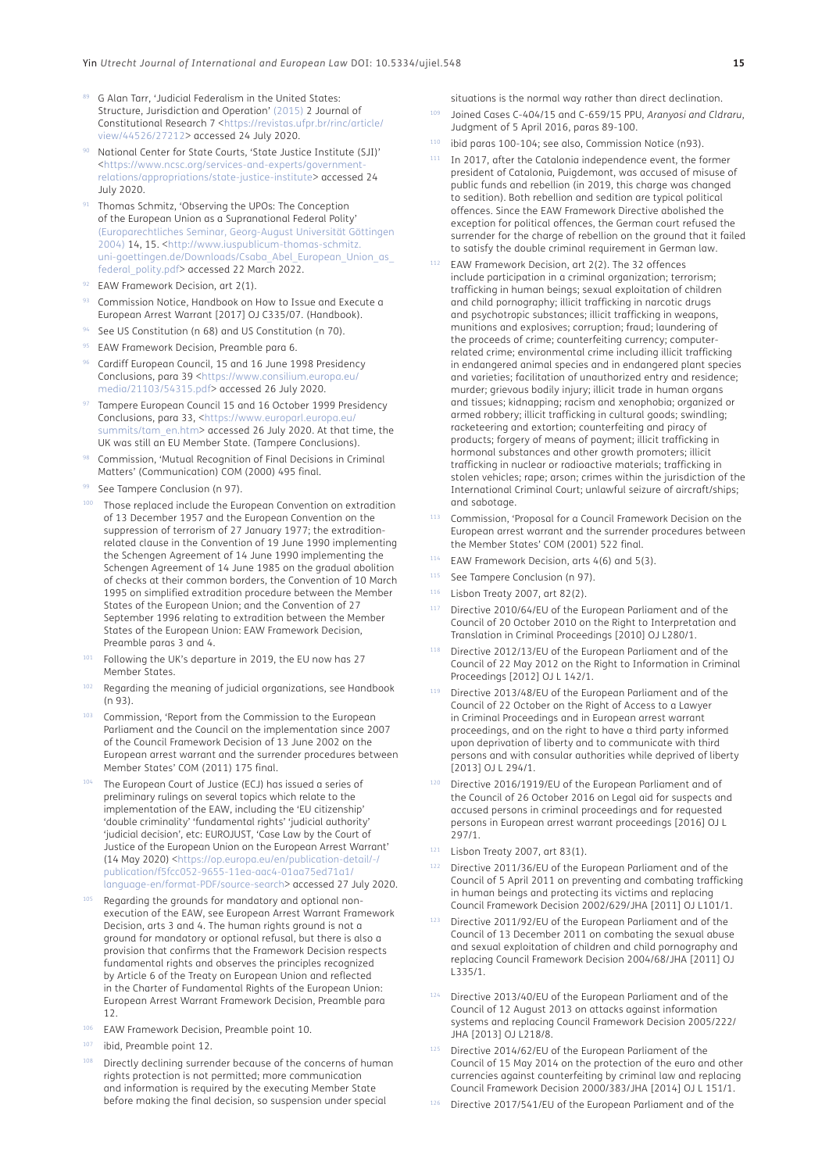- <span id="page-14-0"></span>89 G Alan Tarr, 'Judicial Federalism in the United States: Structure, Jurisdiction and Operation' ([2015\)](#page-17-7) 2 Journal of Constitutional Research 7 <[https://revistas.ufpr.br/rinc/article/](https://revistas.ufpr.br/rinc/article/view/44526/27212) [view/44526/27212](https://revistas.ufpr.br/rinc/article/view/44526/27212)> accessed 24 July 2020.
- <span id="page-14-1"></span>National Center for State Courts, 'State Justice Institute (SJI)' <[https://www.ncsc.org/services-and-experts/government](https://www.ncsc.org/services-and-experts/government-relations/appropriations/state-justice-institute)[relations/appropriations/state-justice-institute>](https://www.ncsc.org/services-and-experts/government-relations/appropriations/state-justice-institute) accessed 24 July 2020.
- <span id="page-14-2"></span>Thomas Schmitz, 'Observing the UPOs: The Conception of the European Union as a Supranational Federal Polity' ([Europarechtliches Seminar, Georg-August Universität Göttingen](#page-17-9) [2004](#page-17-9)) 14, 15. <[http://www.iuspublicum-thomas-schmitz.](http://www.iuspublicum-thomas-schmitz.uni-goettingen.de/Downloads/Csaba_Abel_European_Union_as_federal_polity.pdf) [uni-goettingen.de/Downloads/Csaba\\_Abel\\_European\\_Union\\_as\\_](http://www.iuspublicum-thomas-schmitz.uni-goettingen.de/Downloads/Csaba_Abel_European_Union_as_federal_polity.pdf) [federal\\_polity.pdf>](http://www.iuspublicum-thomas-schmitz.uni-goettingen.de/Downloads/Csaba_Abel_European_Union_as_federal_polity.pdf) accessed 22 March 2022.
- <span id="page-14-3"></span>92 EAW Framework Decision, art 2(1).
- <span id="page-14-4"></span><sup>93</sup> Commission Notice, Handbook on How to Issue and Execute a European Arrest Warrant [2017] OJ C335/07. (Handbook).
- <span id="page-14-5"></span>94 See US Constitution (n 68) and US Constitution (n 70).
- <span id="page-14-6"></span>95 EAW Framework Decision, Preamble para 6.
- <span id="page-14-7"></span><sup>96</sup> Cardiff European Council, 15 and 16 June 1998 Presidency Conclusions, para 39 <[https://www.consilium.europa.eu/](https://www.consilium.europa.eu/media/21103/54315.pdf) [media/21103/54315.pdf>](https://www.consilium.europa.eu/media/21103/54315.pdf) accessed 26 July 2020.
- Tampere European Council 15 and 16 October 1999 Presidency Conclusions, para 33, <[https://www.europarl.europa.eu/](https://www.europarl.europa.eu/summits/tam_en.htm) [summits/tam\\_en.htm](https://www.europarl.europa.eu/summits/tam_en.htm)> accessed 26 July 2020. At that time, the UK was still an EU Member State. (Tampere Conclusions).
- <span id="page-14-8"></span>98 Commission, 'Mutual Recognition of Final Decisions in Criminal Matters' (Communication) COM (2000) 495 final.
- 99 See Tampere Conclusion (n 97).
- <span id="page-14-9"></span><sup>100</sup> Those replaced include the European Convention on extradition of 13 December 1957 and the European Convention on the suppression of terrorism of 27 January 1977; the extraditionrelated clause in the Convention of 19 June 1990 implementing the Schengen Agreement of 14 June 1990 implementing the Schengen Agreement of 14 June 1985 on the gradual abolition of checks at their common borders, the Convention of 10 March 1995 on simplified extradition procedure between the Member States of the European Union; and the Convention of 27 September 1996 relating to extradition between the Member States of the European Union: EAW Framework Decision, Preamble paras 3 and 4.
- <sup>101</sup> Following the UK's departure in 2019, the EU now has 27 Member States.
- <span id="page-14-10"></span>Regarding the meaning of judicial organizations, see Handbook (n 93).
- <sup>103</sup> Commission, 'Report from the Commission to the European Parliament and the Council on the implementation since 2007 of the Council Framework Decision of 13 June 2002 on the European arrest warrant and the surrender procedures between Member States' COM (2011) 175 final.
- <span id="page-14-11"></span>The European Court of Justice (ECJ) has issued a series of preliminary rulings on several topics which relate to the implementation of the EAW, including the 'EU citizenship' 'double criminality' 'fundamental rights' 'judicial authority' 'judicial decision', etc: EUROJUST, 'Case Law by the Court of Justice of the European Union on the European Arrest Warrant' (14 May 2020) <[https://op.europa.eu/en/publication-detail/-/](https://op.europa.eu/en/publication-detail/-/publication/f5fcc052-9655-11ea-aac4-01aa75ed71a1/language-en/format-PDF/source-search) [publication/f5fcc052-9655-11ea-aac4-01aa75ed71a1/](https://op.europa.eu/en/publication-detail/-/publication/f5fcc052-9655-11ea-aac4-01aa75ed71a1/language-en/format-PDF/source-search) [language-en/format-PDF/source-search](https://op.europa.eu/en/publication-detail/-/publication/f5fcc052-9655-11ea-aac4-01aa75ed71a1/language-en/format-PDF/source-search)> accessed 27 July 2020.
- <span id="page-14-12"></span>Regarding the grounds for mandatory and optional nonexecution of the EAW, see European Arrest Warrant Framework Decision, arts 3 and 4. The human rights ground is not a ground for mandatory or optional refusal, but there is also a provision that confirms that the Framework Decision respects fundamental rights and observes the principles recognized by Article 6 of the Treaty on European Union and reflected in the Charter of Fundamental Rights of the European Union: European Arrest Warrant Framework Decision, Preamble para 12.
- <span id="page-14-13"></span><sup>106</sup> EAW Framework Decision, Preamble point 10.
- <span id="page-14-14"></span><sup>107</sup> ibid, Preamble point 12.
- <span id="page-14-15"></span>Directly declining surrender because of the concerns of human rights protection is not permitted; more communication and information is required by the executing Member State before making the final decision, so suspension under special

situations is the normal way rather than direct declination. 109 Joined Cases C-404/15 and C-659/15 PPU, Aranyosi and Cldraru, Judgment of 5 April 2016, paras 89-100.

- <span id="page-14-16"></span><sup>110</sup> ibid paras 100-104; see also, Commission Notice (n93).
- <span id="page-14-17"></span>111 In 2017, after the Catalonia independence event, the former president of Catalonia, Puigdemont, was accused of misuse of public funds and rebellion (in 2019, this charge was changed to sedition). Both rebellion and sedition are typical political offences. Since the EAW Framework Directive abolished the exception for political offences, the German court refused the surrender for the charge of rebellion on the ground that it failed to satisfy the double criminal requirement in German law.
- <span id="page-14-18"></span>EAW Framework Decision, art 2(2). The 32 offences include participation in a criminal organization; terrorism; trafficking in human beings; sexual exploitation of children and child pornography; illicit trafficking in narcotic drugs and psychotropic substances; illicit trafficking in weapons, munitions and explosives; corruption; fraud; laundering of the proceeds of crime; counterfeiting currency; computerrelated crime; environmental crime including illicit trafficking in endangered animal species and in endangered plant species and varieties; facilitation of unauthorized entry and residence; murder; grievous bodily injury; illicit trade in human organs and tissues; kidnapping; racism and xenophobia; organized or armed robbery; illicit trafficking in cultural goods; swindling; racketeering and extortion; counterfeiting and piracy of products; forgery of means of payment; illicit trafficking in hormonal substances and other growth promoters; illicit trafficking in nuclear or radioactive materials; trafficking in stolen vehicles; rape; arson; crimes within the jurisdiction of the International Criminal Court; unlawful seizure of aircraft/ships; and sabotage.
- <sup>113</sup> Commission, 'Proposal for a Council Framework Decision on the European arrest warrant and the surrender procedures between the Member States' COM (2001) 522 final.
- <span id="page-14-19"></span><sup>114</sup> EAW Framework Decision, arts 4(6) and 5(3).
- <span id="page-14-20"></span>115 See Tampere Conclusion (n 97).
- <span id="page-14-21"></span><sup>116</sup> Lisbon Treaty 2007, art 82(2).
- <span id="page-14-22"></span>Directive 2010/64/EU of the European Parliament and of the Council of 20 October 2010 on the Right to Interpretation and Translation in Criminal Proceedings [2010] OJ L280/1.
- <span id="page-14-23"></span><sup>118</sup> Directive 2012/13/EU of the European Parliament and of the Council of 22 May 2012 on the Right to Information in Criminal Proceedings [2012] OJ L 142/1.
- <span id="page-14-24"></span>Directive 2013/48/EU of the European Parliament and of the Council of 22 October on the Right of Access to a Lawyer in Criminal Proceedings and in European arrest warrant proceedings, and on the right to have a third party informed upon deprivation of liberty and to communicate with third persons and with consular authorities while deprived of liberty [2013] OJ L 294/1.
- <span id="page-14-25"></span><sup>120</sup> Directive 2016/1919/EU of the European Parliament and of the Council of 26 October 2016 on Legal aid for suspects and accused persons in criminal proceedings and for requested persons in European arrest warrant proceedings [2016] OJ L 297/1.
- <span id="page-14-26"></span><sup>121</sup> Lisbon Treaty 2007, art 83(1).
- <span id="page-14-27"></span>Directive 2011/36/EU of the European Parliament and of the Council of 5 April 2011 on preventing and combating trafficking in human beings and protecting its victims and replacing Council Framework Decision 2002/629/JHA [2011] OJ L101/1.
- <span id="page-14-28"></span>123 Directive 2011/92/EU of the European Parliament and of the Council of 13 December 2011 on combating the sexual abuse and sexual exploitation of children and child pornography and replacing Council Framework Decision 2004/68/JHA [2011] OJ L335/1.
- <span id="page-14-29"></span>Directive 2013/40/EU of the European Parliament and of the Council of 12 August 2013 on attacks against information systems and replacing Council Framework Decision 2005/222/ JHA [2013] OJ L218/8.
- <span id="page-14-30"></span>125 Directive 2014/62/EU of the European Parliament of the Council of 15 May 2014 on the protection of the euro and other currencies against counterfeiting by criminal law and replacing Council Framework Decision 2000/383/JHA [2014] OJ L 151/1.
- <span id="page-14-31"></span>126 Directive 2017/541/EU of the European Parliament and of the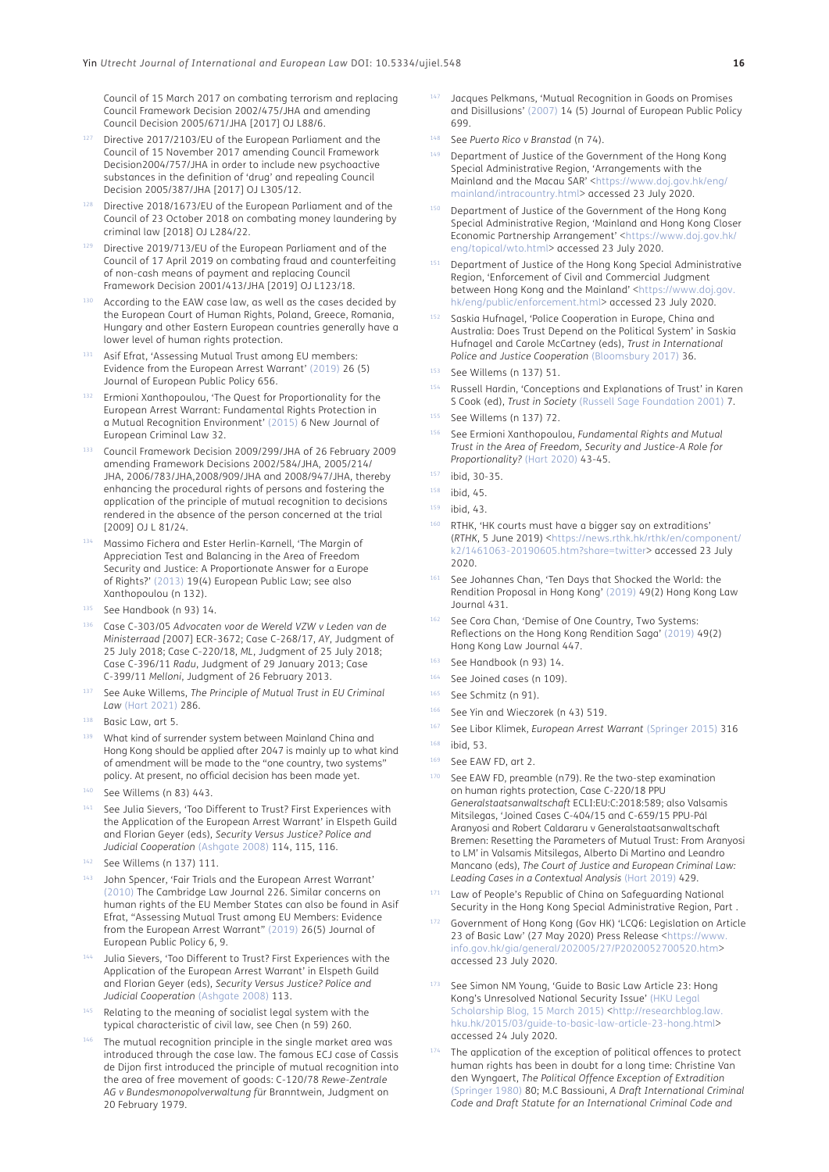Council of 15 March 2017 on combating terrorism and replacing Council Framework Decision 2002/475/JHA and amending Council Decision 2005/671/JHA [2017] OJ L88/6.

- <span id="page-15-0"></span>127 Directive 2017/2103/EU of the European Parliament and the Council of 15 November 2017 amending Council Framework Decision2004/757/JHA in order to include new psychoactive substances in the definition of 'drug' and repealing Council Decision 2005/387/JHA [2017] OJ L305/12.
- <span id="page-15-1"></span><sup>128</sup> Directive 2018/1673/EU of the European Parliament and of the Council of 23 October 2018 on combating money laundering by criminal law [2018] OJ L284/22.
- <span id="page-15-2"></span>Directive 2019/713/EU of the European Parliament and of the Council of 17 April 2019 on combating fraud and counterfeiting of non-cash means of payment and replacing Council Framework Decision 2001/413/JHA [2019] OJ L123/18.
- <span id="page-15-3"></span>According to the EAW case law, as well as the cases decided by the European Court of Human Rights, Poland, Greece, Romania, Hungary and other Eastern European countries generally have a lower level of human rights protection.
- Asif Efrat, 'Assessing Mutual Trust among EU members: Evidence from the European Arrest Warrant' ([2019\)](#page-16-6) 26 (5) Journal of European Public Policy 656.
- Ermioni Xanthopoulou, 'The Quest for Proportionality for the European Arrest Warrant: Fundamental Rights Protection in a Mutual Recognition Environment' ([2015\)](#page-17-10) 6 New Journal of European Criminal Law 32.
- <span id="page-15-4"></span><sup>133</sup> Council Framework Decision 2009/299/JHA of 26 February 2009 amending Framework Decisions 2002/584/JHA, 2005/214/ JHA, 2006/783/JHA,2008/909/JHA and 2008/947/JHA, thereby enhancing the procedural rights of persons and fostering the application of the principle of mutual recognition to decisions rendered in the absence of the person concerned at the trial [2009] OJ L 81/24.
- <sup>134</sup> Massimo Fichera and Ester Herlin-Karnell, 'The Margin of Appreciation Test and Balancing in the Area of Freedom Security and Justice: A Proportionate Answer for a Europe of Rights?' ([2013\)](#page-16-7) 19(4) European Public Law; see also Xanthopoulou (n 132).
- <span id="page-15-5"></span><sup>135</sup> See Handbook (n 93) 14.
- <sup>136</sup> Case C-303/05 *Advocaten voor de Wereld VZW v Leden van de Ministerraad [*2007] ECRⅠ-3672; Case C-268/17, *AY*, Judgment of 25 July 2018; Case C-220/18, *ML*, Judgment of 25 July 2018; Case C-396/11 *Radu*, Judgment of 29 January 2013; Case C-399/11 *Melloni*, Judgment of 26 February 2013.
- <span id="page-15-6"></span><sup>137</sup> See Auke Willems, *The Principle of Mutual Trust in EU Criminal Law* (Hart 2021) 286.
- <span id="page-15-7"></span>138 Basic Law, art 5.
- <span id="page-15-8"></span>139 What kind of surrender system between Mainland China and Hong Kong should be applied after 2047 is mainly up to what kind of amendment will be made to the "one country, two systems" policy. At present, no official decision has been made yet.
- <span id="page-15-9"></span><sup>140</sup> See Willems (n 83) 443.
- See Julia Sievers, 'Too Different to Trust? First Experiences with the Application of the European Arrest Warrant' in Elspeth Guild and Florian Geyer (eds), *Security Versus Justice? Police and Judicial Cooperation* ([Ashgate 2008\)](#page-17-11) 114, 115, 116.
- <span id="page-15-10"></span><sup>142</sup> See Willems (n 137) 111.
- <sup>143</sup> John Spencer, 'Fair Trials and the European Arrest Warrant' ([2010\)](#page-17-12) The Cambridge Law Journal 226. Similar concerns on human rights of the EU Member States can also be found in Asif Efrat, "Assessing Mutual Trust among EU Members: Evidence from the European Arrest Warrant" ([2019](#page-16-6)) 26(5) Journal of European Public Policy 6, 9.
- Julia Sievers, 'Too Different to Trust? First Experiences with the Application of the European Arrest Warrant' in Elspeth Guild and Florian Geyer (eds), *Security Versus Justice? Police and Judicial Cooperation* ([Ashgate 2008\)](#page-17-11) 113.
- <span id="page-15-11"></span>Relating to the meaning of socialist legal system with the typical characteristic of civil law, see Chen (n 59) 260.
- <span id="page-15-12"></span>The mutual recognition principle in the single market area was introduced through the case law. The famous ECJ case of Cassis de Dijon first introduced the principle of mutual recognition into the area of free movement of goods: C-120/78 *Rewe-Zentrale AG v Bundesmonopolverwaltung f*ür Branntwein, Judgment on 20 February 1979.
- Jacques Pelkmans, 'Mutual Recognition in Goods on Promises and Disillusions' ([2007](#page-17-13)) 14 (5) Journal of European Public Policy 699.
- <span id="page-15-13"></span><sup>148</sup> See *Puerto Rico v Branstad* (n 74).
- 149 Department of Justice of the Government of the Hong Kong Special Administrative Region, 'Arrangements with the Mainland and the Macau SAR' <[https://www.doj.gov.hk/eng/](https://www.doj.gov.hk/eng/mainland/intracountry.html) [mainland/intracountry.html](https://www.doj.gov.hk/eng/mainland/intracountry.html)> accessed 23 July 2020.
- Department of Justice of the Government of the Hong Kong Special Administrative Region, 'Mainland and Hong Kong Closer Economic Partnership Arrangement' <[https://www.doj.gov.hk/](https://www.doj.gov.hk/eng/topical/wto.html) [eng/topical/wto.html](https://www.doj.gov.hk/eng/topical/wto.html)> accessed 23 July 2020.
- <sup>151</sup> Department of Justice of the Hong Kong Special Administrative Region, 'Enforcement of Civil and Commercial Judgment between Hong Kong and the Mainland' <[https://www.doj.gov.](https://www.doj.gov.hk/eng/public/enforcement.html) [hk/eng/public/enforcement.html>](https://www.doj.gov.hk/eng/public/enforcement.html) accessed 23 July 2020.
- Saskia Hufnagel, 'Police Cooperation in Europe, China and Australia: Does Trust Depend on the Political System' in Saskia Hufnagel and Carole McCartney (eds), *Trust in International Police and Justice Cooperation* [\(Bloomsbury 2017\)](#page-16-8) 36.
- <span id="page-15-14"></span><sup>153</sup> See Willems (n 137) 51.
- Russell Hardin, 'Conceptions and Explanations of Trust' in Karen S Cook (ed), *Trust in Society* ([Russell Sage Foundation 2001\)](#page-16-9) 7.
- <span id="page-15-15"></span><sup>155</sup> See Willems (n 137) 72.
- <span id="page-15-16"></span><sup>156</sup> See Ermioni Xanthopoulou, *Fundamental Rights and Mutual Trust in the Area of Freedom, Security and Justice-A Role for Proportionality?* [\(Hart 2020\)](#page-17-10) 43-45.
- <span id="page-15-17"></span><sup>157</sup> ibid, 30-35.

- <span id="page-15-19"></span> $159$  ibid, 43.
- RTHK, 'HK courts must have a bigger say on extraditions' (*RTHK*, 5 June 2019) [<https://news.rthk.hk/rthk/en/component/](https://news.rthk.hk/rthk/en/component/k2/1461063-20190605.htm?share=twitter) [k2/1461063-20190605.htm?share=twitter](https://news.rthk.hk/rthk/en/component/k2/1461063-20190605.htm?share=twitter)> accessed 23 July 2020.
- 161 See Johannes Chan, 'Ten Days that Shocked the World: the Rendition Proposal in Hong Kong' ([2019\)](#page-16-10) 49(2) Hong Kong Law Journal 431.
- 162 See Cora Chan, 'Demise of One Country, Two Systems: Reflections on the Hong Kong Rendition Saga' ([2019\)](#page-16-11) 49(2) Hong Kong Law Journal 447.
- <span id="page-15-20"></span>See Handbook (n 93) 14
- <span id="page-15-21"></span>164 See Joined cases (n 109).
- <span id="page-15-22"></span><sup>165</sup> See Schmitz (n 91).
- <span id="page-15-23"></span><sup>166</sup> See Yin and Wieczorek (n 43) 519.
- <span id="page-15-24"></span><sup>167</sup> See Libor Klimek, *European Arrest Warrant* (Springer 2015) 316

- <span id="page-15-26"></span><sup>169</sup> See EAW FD, art 2.
- <span id="page-15-27"></span>See EAW FD, preamble (n79). Re the two-step examination on human rights protection, Case C-220/18 PPU *Generalstaatsanwaltschaft* ECLI:EU:C:2018:589; also Valsamis Mitsilegas, 'Joined Cases C-404/15 and C-659/15 PPU-Pál Aranyosi and Robert Caldararu v Generalstaatsanwaltschaft Bremen: Resetting the Parameters of Mutual Trust: From Aranyosi to LM' in Valsamis Mitsilegas, Alberto Di Martino and Leandro Mancano (eds), *The Court of Justice and European Criminal Law: Leading Cases in a Contextual Analysis* ([Hart 2019](#page-16-12)) 429.
- <span id="page-15-28"></span>Law of People's Republic of China on Safeguarding National Security in the Hong Kong Special Administrative Region, Part .
- <span id="page-15-29"></span><sup>172</sup> Government of Hong Kong (Gov HK) 'LCQ6: Legislation on Article 23 of Basic Law' (27 May 2020) Press Release [<https://www.](https://www.info.gov.hk/gia/general/202005/27/P2020052700520.htm) [info.gov.hk/gia/general/202005/27/P2020052700520.htm](https://www.info.gov.hk/gia/general/202005/27/P2020052700520.htm)> accessed 23 July 2020.
- <span id="page-15-30"></span>See Simon NM Young, 'Guide to Basic Law Article 23: Hong Kong's Unresolved National Security Issue' [\(HKU Legal](#page-17-14)  [Scholarship Blog, 15 March 2015\)](#page-17-14) [<http://researchblog.law.](http://researchblog.law.hku.hk/2015/03/guide-to-basic-law-article-23-hong.html) [hku.hk/2015/03/guide-to-basic-law-article-23-hong.html>](http://researchblog.law.hku.hk/2015/03/guide-to-basic-law-article-23-hong.html) accessed 24 July 2020.
- <span id="page-15-31"></span>The application of the exception of political offences to protect human rights has been in doubt for a long time: Christine Van den Wyngaert, *The Political Offence Exception of Extradition* (Springer 1980) 80; M.C Bassiouni, *A Draft International Criminal Code and Draft Statute for an International Criminal Code and*

<span id="page-15-18"></span><sup>158</sup> ibid, 45.

<span id="page-15-25"></span><sup>168</sup> ibid, 53.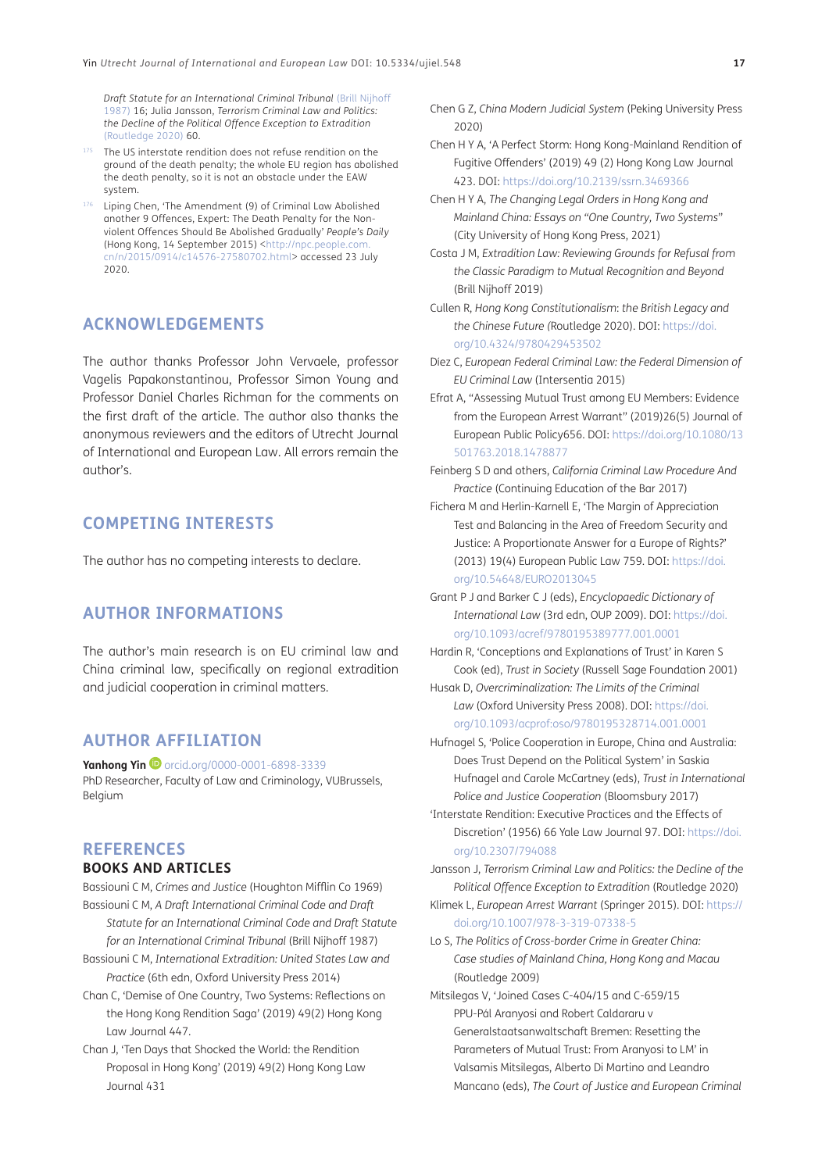*Draft Statute for an International Criminal Tribunal* (Brill Nijhoff 1987) 16; Julia Jansson, *Terrorism Criminal Law and Politics: the Decline of the Political Offence Exception to Extradition* (Routledge 2020) 60.

- <span id="page-16-0"></span>175 The US interstate rendition does not refuse rendition on the ground of the death penalty; the whole EU region has abolished the death penalty, so it is not an obstacle under the EAW system.
- <span id="page-16-1"></span><sup>176</sup> Liping Chen, 'The Amendment (9) of Criminal Law Abolished another 9 Offences, Expert: The Death Penalty for the Nonviolent Offences Should Be Abolished Gradually' *People's Daily*  (Hong Kong, 14 September 2015) <[http://npc.people.com.](http://npc.people.com.cn/n/2015/0914/c14576-27580702.html) [cn/n/2015/0914/c14576-27580702.html>](http://npc.people.com.cn/n/2015/0914/c14576-27580702.html) accessed 23 July 2020.

## **ACKNOWLEDGEMENTS**

The author thanks Professor John Vervaele, professor Vagelis Papakonstantinou, Professor Simon Young and Professor Daniel Charles Richman for the comments on the first draft of the article. The author also thanks the anonymous reviewers and the editors of Utrecht Journal of International and European Law. All errors remain the author's.

## **COMPETING INTERESTS**

The author has no competing interests to declare.

## **AUTHOR INFORMATIONS**

The author's main research is on EU criminal law and China criminal law, specifically on regional extradition and judicial cooperation in criminal matters.

## **AUTHOR AFFILIATION**

**YanhongYin**  $\bullet$  [orcid.org/0000-0001-6898-3339](https://orcid.org/0000-0001-6898-3339)

PhD Researcher, Faculty of Law and Criminology, VUBrussels, Belgium

## **REFERENCES**

## **BOOKS AND ARTICLES**

- Bassiouni C M, *Crimes and Justice* (Houghton Mifflin Co 1969) Bassiouni C M, *A Draft International Criminal Code and Draft*
- *Statute for an International Criminal Code and Draft Statute for an International Criminal Tribunal* (Brill Nijhoff 1987)
- Bassiouni C M, *International Extradition: United States Law and Practice* (6th edn, Oxford University Press 2014)
- <span id="page-16-11"></span>Chan C, 'Demise of One Country, Two Systems: Reflections on the Hong Kong Rendition Saga' (2019) 49(2) Hong Kong Law Journal 447.
- <span id="page-16-10"></span>Chan J, 'Ten Days that Shocked the World: the Rendition Proposal in Hong Kong' (2019) 49(2) Hong Kong Law Journal 431
- Chen G Z, *China Modern Judicial System* (Peking University Press 2020)
- <span id="page-16-2"></span>Chen H Y A, 'A Perfect Storm: Hong Kong-Mainland Rendition of Fugitive Offenders' (2019) 49 (2) Hong Kong Law Journal 423. DOI:<https://doi.org/10.2139/ssrn.3469366>
- <span id="page-16-3"></span>Chen H Y A, *The Changing Legal Orders in Hong Kong and Mainland China: Essays on "One Country, Two Systems*" (City University of Hong Kong Press, 2021)
- Costa J M, *Extradition Law: Reviewing Grounds for Refusal from the Classic Paradigm to Mutual Recognition and Beyond* (Brill Nijhoff 2019)
- Cullen R, *Hong Kong Constitutionalism*: *the British Legacy and the Chinese Future (*Routledge 2020). DOI: [https://doi.](https://doi.org/10.4324/9780429453502) [org/10.4324/9780429453502](https://doi.org/10.4324/9780429453502)
- <span id="page-16-5"></span>Díez C, *European Federal Criminal Law: the Federal Dimension of EU Criminal Law* (Intersentia 2015)
- <span id="page-16-6"></span>Efrat A, "Assessing Mutual Trust among EU Members: Evidence from the European Arrest Warrant" (2019)26(5) Journal of European Public Policy656. DOI: [https://doi.org/10.1080/13](https://doi.org/10.1080/13501763.2018.1478877) [501763.2018.1478877](https://doi.org/10.1080/13501763.2018.1478877)
- Feinberg S D and others, *California Criminal Law Procedure And Practice* (Continuing Education of the Bar 2017)
- <span id="page-16-7"></span>Fichera M and Herlin-Karnell E, 'The Margin of Appreciation Test and Balancing in the Area of Freedom Security and Justice: A Proportionate Answer for a Europe of Rights?' (2013) 19(4) European Public Law 759. DOI: [https://doi.](https://doi.org/10.54648/EURO2013045) [org/10.54648/EURO2013045](https://doi.org/10.54648/EURO2013045)
- Grant P J and Barker C J (eds), *Encyclopaedic Dictionary of International Law* (3rd edn, OUP 2009). DOI: [https://doi.](https://doi.org/10.1093/acref/9780195389777.001.0001) [org/10.1093/acref/9780195389777.001.0001](https://doi.org/10.1093/acref/9780195389777.001.0001)
- <span id="page-16-9"></span>Hardin R, 'Conceptions and Explanations of Trust' in Karen S Cook (ed), *Trust in Society* (Russell Sage Foundation 2001)
- Husak D, *Overcriminalization: The Limits of the Criminal Law* (Oxford University Press 2008). DOI: [https://doi.](https://doi.org/10.1093/acprof:oso/9780195328714.001.0001) [org/10.1093/acprof:oso/9780195328714.001.0001](https://doi.org/10.1093/acprof:oso/9780195328714.001.0001)
- <span id="page-16-8"></span>Hufnagel S, 'Police Cooperation in Europe, China and Australia: Does Trust Depend on the Political System' in Saskia Hufnagel and Carole McCartney (eds), *Trust in International Police and Justice Cooperation* (Bloomsbury 2017)
- <span id="page-16-4"></span>'Interstate Rendition: Executive Practices and the Effects of Discretion' (1956) 66 Yale Law Journal 97. DOI: [https://doi.](https://doi.org/10.2307/794088) [org/10.2307/794088](https://doi.org/10.2307/794088)

Jansson J, *Terrorism Criminal Law and Politics: the Decline of the Political Offence Exception to Extradition* (Routledge 2020)

Klimek L, *European Arrest Warrant* (Springer 2015). DOI: [https://](https://doi.org/10.1007/978-3-319-07338-5) [doi.org/10.1007/978-3-319-07338-5](https://doi.org/10.1007/978-3-319-07338-5)

- Lo S, *The Politics of Cross-border Crime in Greater China: Case studies of Mainland China, Hong Kong and Macau* (Routledge 2009)
- <span id="page-16-12"></span>Mitsilegas V, 'Joined Cases C-404/15 and C-659/15 PPU-Pál Aranyosi and Robert Caldararu v Generalstaatsanwaltschaft Bremen: Resetting the Parameters of Mutual Trust: From Aranyosi to LM' in Valsamis Mitsilegas, Alberto Di Martino and Leandro Mancano (eds), *The Court of Justice and European Criminal*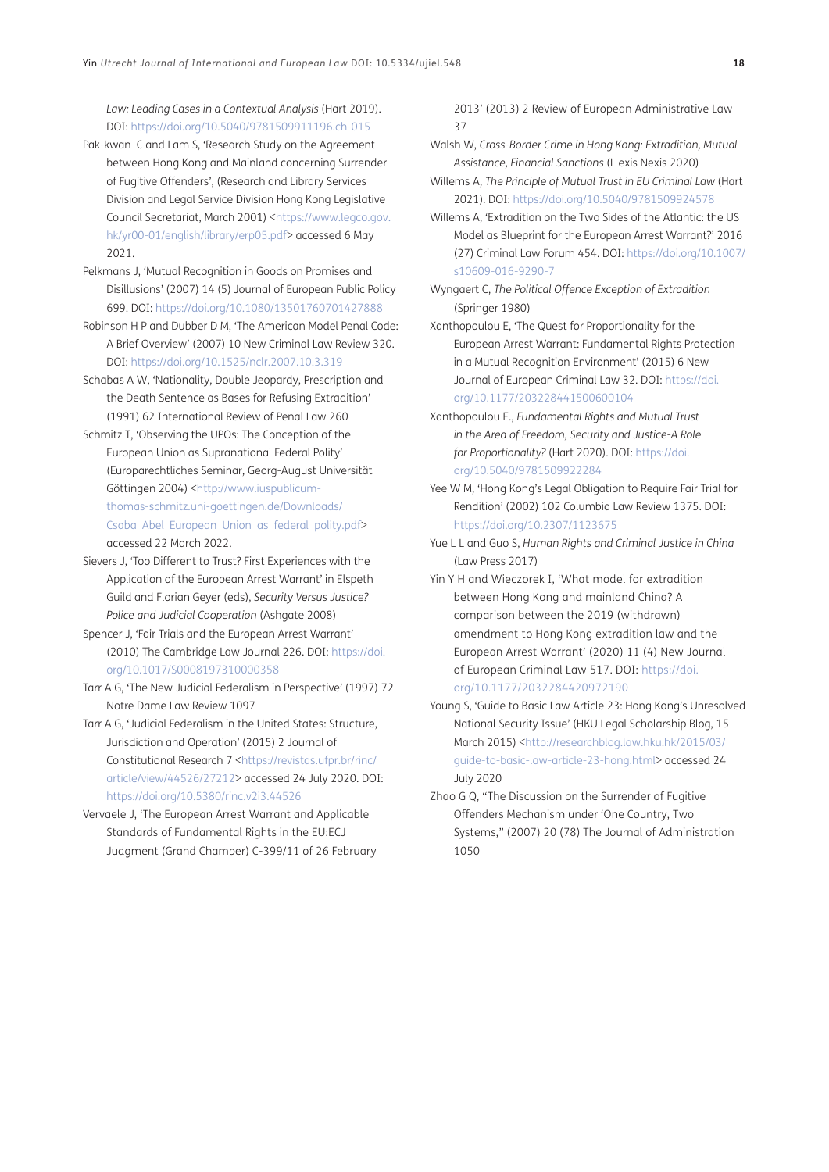*Law: Leading Cases in a Contextual Analysis* (Hart 2019). DOI:<https://doi.org/10.5040/9781509911196.ch-015>

- <span id="page-17-0"></span>Pak-kwan C and Lam S, 'Research Study on the Agreement between Hong Kong and Mainland concerning Surrender of Fugitive Offenders', (Research and Library Services Division and Legal Service Division Hong Kong Legislative Council Secretariat, March 2001) [<https://www.legco.gov.](https://www.legco.gov.hk/yr00-01/english/library/erp05.pdf) [hk/yr00-01/english/library/erp05.pdf>](https://www.legco.gov.hk/yr00-01/english/library/erp05.pdf) accessed 6 May 2021.
- <span id="page-17-13"></span>Pelkmans J, 'Mutual Recognition in Goods on Promises and Disillusions' (2007) 14 (5) Journal of European Public Policy 699. DOI: <https://doi.org/10.1080/13501760701427888>
- <span id="page-17-8"></span>Robinson H P and Dubber D M, 'The American Model Penal Code: A Brief Overview' (2007) 10 New Criminal Law Review 320. DOI:<https://doi.org/10.1525/nclr.2007.10.3.319>
- <span id="page-17-4"></span>Schabas A W, 'Nationality, Double Jeopardy, Prescription and the Death Sentence as Bases for Refusing Extradition' (1991) 62 International Review of Penal Law 260
- <span id="page-17-9"></span>Schmitz T, 'Observing the UPOs: The Conception of the European Union as Supranational Federal Polity' (Europarechtliches Seminar, Georg-August Universität Göttingen 2004) [<http://www.iuspublicum](http://www.iuspublicum-thomas-schmitz.uni-goettingen.de/Downloads/Csaba_Abel_European_Union_as_federal_polity.pdf)[thomas-schmitz.uni-goettingen.de/Downloads/](http://www.iuspublicum-thomas-schmitz.uni-goettingen.de/Downloads/Csaba_Abel_European_Union_as_federal_polity.pdf) Csaba Abel European Union as federal polity.pdf> accessed 22 March 2022.
- <span id="page-17-11"></span>Sievers J, 'Too Different to Trust? First Experiences with the Application of the European Arrest Warrant' in Elspeth Guild and Florian Geyer (eds), *Security Versus Justice? Police and Judicial Cooperation* (Ashgate 2008)
- <span id="page-17-12"></span>Spencer J, 'Fair Trials and the European Arrest Warrant' (2010) The Cambridge Law Journal 226. DOI: [https://doi.](https://doi.org/10.1017/S0008197310000358) [org/10.1017/S0008197310000358](https://doi.org/10.1017/S0008197310000358)
- Tarr A G, 'The New Judicial Federalism in Perspective' (1997) 72 Notre Dame Law Review 1097
- <span id="page-17-7"></span>Tarr A G, 'Judicial Federalism in the United States: Structure, Jurisdiction and Operation' (2015) 2 Journal of Constitutional Research 7 <[https://revistas.ufpr.br/rinc/](https://revistas.ufpr.br/rinc/article/view/44526/27212) [article/view/44526/27212>](https://revistas.ufpr.br/rinc/article/view/44526/27212) accessed 24 July 2020. DOI: <https://doi.org/10.5380/rinc.v2i3.44526>
- <span id="page-17-5"></span>Vervaele J, 'The European Arrest Warrant and Applicable Standards of Fundamental Rights in the EU:ECJ Judgment (Grand Chamber) C-399/11 of 26 February

2013' (2013) 2 Review of European Administrative Law 37

- Walsh W, *Cross-Border Crime in Hong Kong: Extradition, Mutual Assistance, Financial Sanctions* (L exis Nexis 2020)
- Willems A, *The Principle of Mutual Trust in EU Criminal Law* (Hart 2021). DOI:<https://doi.org/10.5040/9781509924578>
- <span id="page-17-6"></span>Willems A, 'Extradition on the Two Sides of the Atlantic: the US Model as Blueprint for the European Arrest Warrant?' 2016 (27) Criminal Law Forum 454. DOI: [https://doi.org/10.1007/](https://doi.org/10.1007/s10609-016-9290-7) [s10609-016-9290-7](https://doi.org/10.1007/s10609-016-9290-7)
- Wyngaert C, *The Political Offence Exception of Extradition* (Springer 1980)
- <span id="page-17-10"></span>Xanthopoulou E, 'The Quest for Proportionality for the European Arrest Warrant: Fundamental Rights Protection in a Mutual Recognition Environment' (2015) 6 New Journal of European Criminal Law 32. DOI: [https://doi.](https://doi.org/10.1177/203228441500600104) [org/10.1177/203228441500600104](https://doi.org/10.1177/203228441500600104)
- Xanthopoulou E., *Fundamental Rights and Mutual Trust in the Area of Freedom, Security and Justice-A Role for Proportionality?* (Hart 2020). DOI: [https://doi.](https://doi.org/10.5040/9781509922284) [org/10.5040/9781509922284](https://doi.org/10.5040/9781509922284)
- <span id="page-17-1"></span>Yee W M, 'Hong Kong's Legal Obligation to Require Fair Trial for Rendition' (2002) 102 Columbia Law Review 1375. DOI: <https://doi.org/10.2307/1123675>
- Yue L L and Guo S, *Human Rights and Criminal Justice in China* (Law Press 2017)
- <span id="page-17-3"></span>Yin Y H and Wieczorek I, 'What model for extradition between Hong Kong and mainland China? A comparison between the 2019 (withdrawn) amendment to Hong Kong extradition law and the European Arrest Warrant' (2020) 11 (4) New Journal of European Criminal Law 517. DOI: [https://doi.](https://doi.org/10.1177/2032284420972190) [org/10.1177/2032284420972190](https://doi.org/10.1177/2032284420972190)
- <span id="page-17-14"></span>Young S, 'Guide to Basic Law Article 23: Hong Kong's Unresolved National Security Issue' (HKU Legal Scholarship Blog, 15 March 2015) [<http://researchblog.law.hku.hk/2015/03/](http://researchblog.law.hku.hk/2015/03/guide-to-basic-law-article-23-hong.html) [guide-to-basic-law-article-23-hong.html](http://researchblog.law.hku.hk/2015/03/guide-to-basic-law-article-23-hong.html)> accessed 24 July 2020
- <span id="page-17-2"></span>Zhao G Q, "The Discussion on the Surrender of Fugitive Offenders Mechanism under 'One Country, Two Systems," (2007) 20 (78) The Journal of Administration 1050